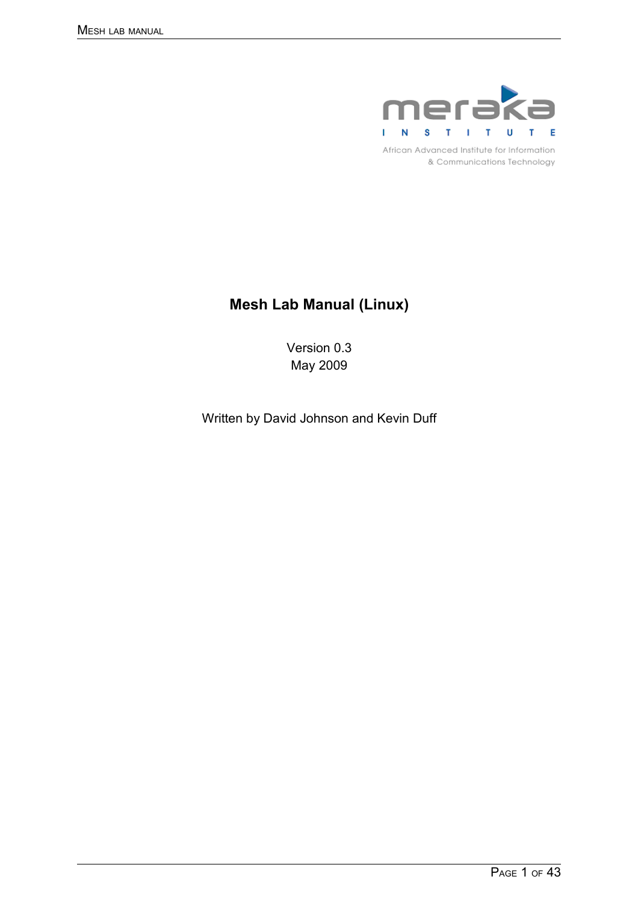

African Advanced Institute for Information & Communications Technology

# **Mesh Lab Manual (Linux)**

Version 0.3 May 2009

Written by David Johnson and Kevin Duff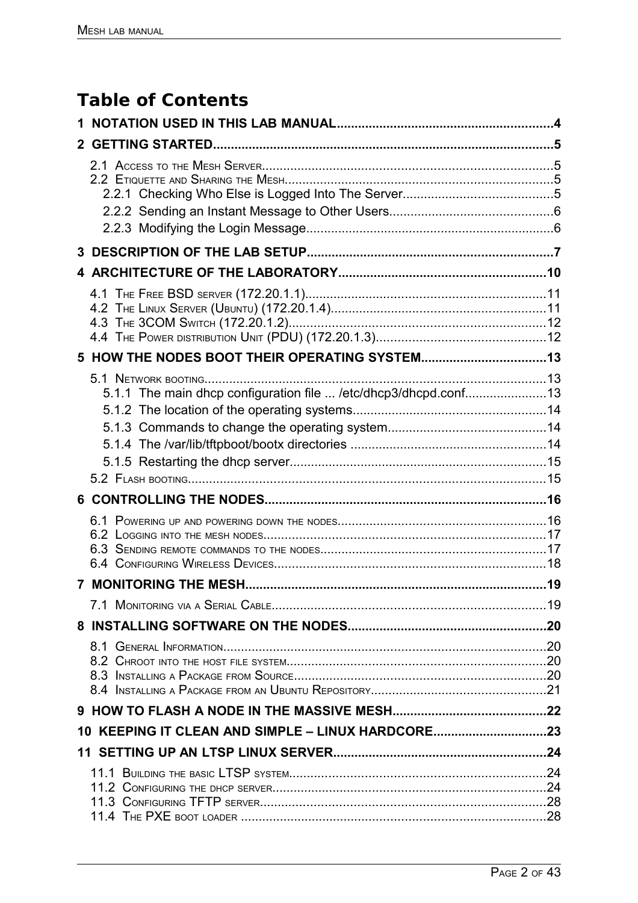# **Table of Contents**

| $\mathbf{2}$ |                                                                 |  |
|--------------|-----------------------------------------------------------------|--|
|              |                                                                 |  |
|              |                                                                 |  |
|              |                                                                 |  |
|              |                                                                 |  |
|              |                                                                 |  |
|              | 5.1.1 The main dhcp configuration file  /etc/dhcp3/dhcpd.conf13 |  |
|              |                                                                 |  |
|              |                                                                 |  |
|              |                                                                 |  |
|              |                                                                 |  |
|              |                                                                 |  |
|              |                                                                 |  |
|              |                                                                 |  |
|              |                                                                 |  |
|              | 10 KEEPING IT CLEAN AND SIMPLE - LINUX HARDCORE23               |  |
|              |                                                                 |  |
|              |                                                                 |  |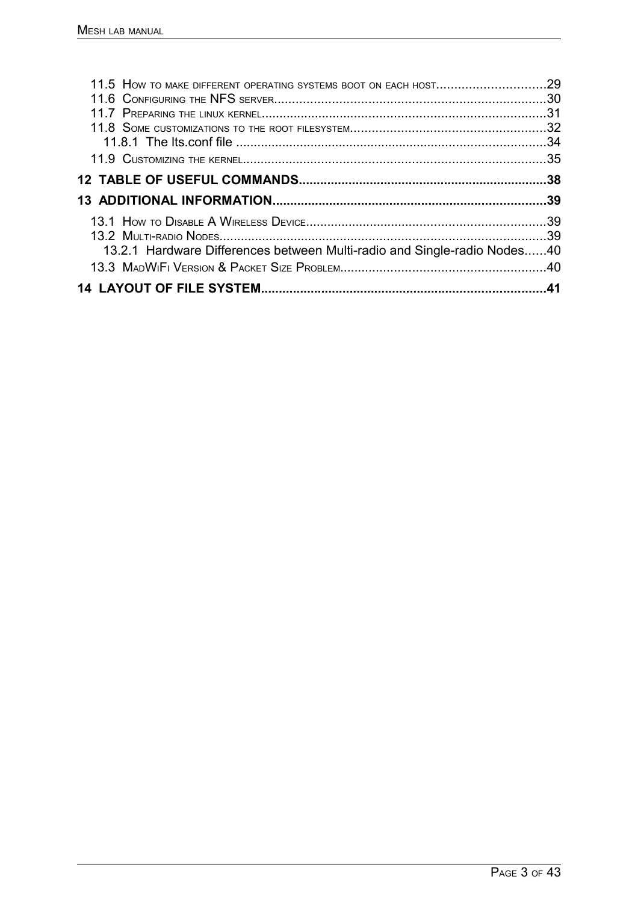| 13.2.1 Hardware Differences between Multi-radio and Single-radio Nodes40 |  |
|--------------------------------------------------------------------------|--|
|                                                                          |  |
|                                                                          |  |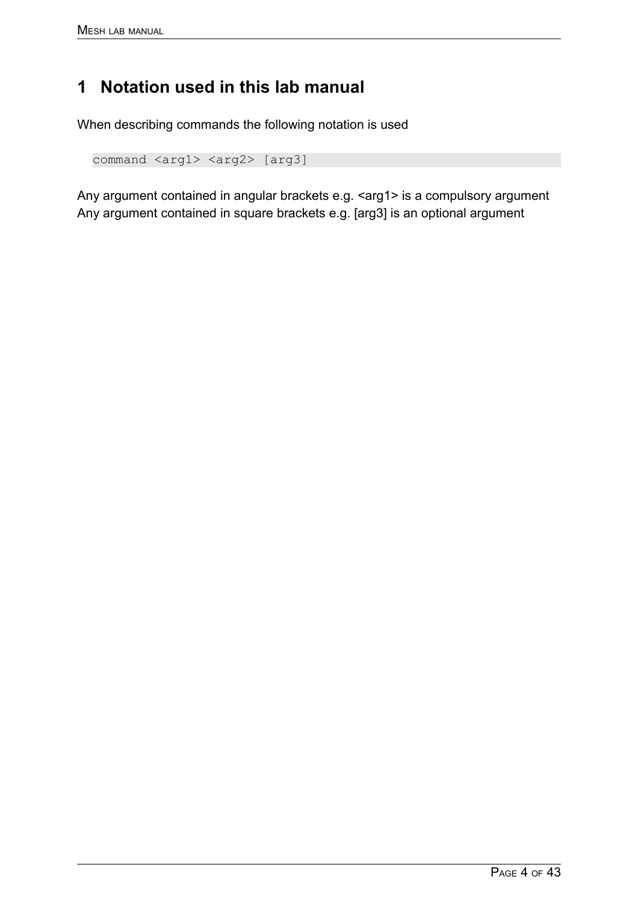# **1 Notation used in this lab manual**

When describing commands the following notation is used

```
command <arg1> <arg2> [arg3]
```
Any argument contained in angular brackets e.g. <arg1> is a compulsory argument Any argument contained in square brackets e.g. [arg3] is an optional argument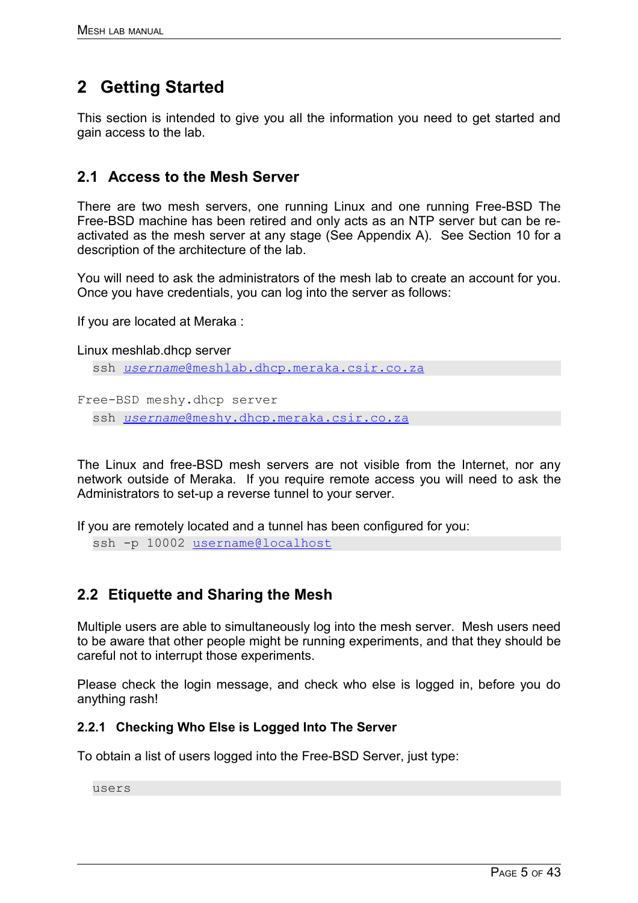# **2 Getting Started**

This section is intended to give you all the information you need to get started and gain access to the lab.

## **2.1 Access to the Mesh Server**

There are two mesh servers, one running Linux and one running Free-BSD The Free-BSD machine has been retired and only acts as an NTP server but can be reactivated as the mesh server at any stage (See Appendix A). See Section [10](#page-9-0) for a description of the architecture of the lab.

You will need to ask the administrators of the mesh lab to create an account for you. Once you have credentials, you can log into the server as follows:

If you are located at Meraka :

Linux meshlab.dhcp server

```
ssh @meshlab.dhcp.meraka.csir.co.za
```

```
Free-BSD meshy.dhcp server
```
ssh *[username](mailto:username@meshy.dhcp.meraka.csir.co.za)* [@meshy.dhcp.meraka.csir.co.za](mailto:username@meshy.dhcp.meraka.csir.co.za)

The Linux and free-BSD mesh servers are not visible from the Internet, nor any network outside of Meraka. If you require remote access you will need to ask the Administrators to set-up a reverse tunnel to your server.

If you are remotely located and a tunnel has been configured for you:

ssh -p 10002 [username@localhost](mailto:username@localhost)

## **2.2 Etiquette and Sharing the Mesh**

Multiple users are able to simultaneously log into the mesh server. Mesh users need to be aware that other people might be running experiments, and that they should be careful not to interrupt those experiments.

Please check the login message, and check who else is logged in, before you do anything rash!

## **2.2.1 Checking Who Else is Logged Into The Server**

To obtain a list of users logged into the Free-BSD Server, just type:

users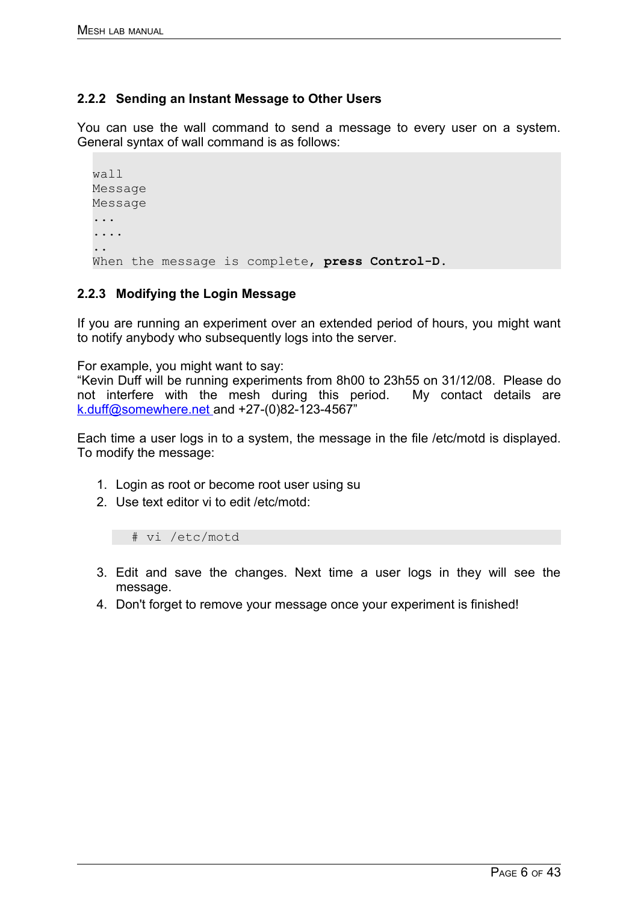## **2.2.2 Sending an Instant Message to Other Users**

You can use the wall command to send a message to every user on a system. General syntax of wall command is as follows:

```
wall
Message
Message
...
....
..
When the message is complete, press Control-D.
```
#### **2.2.3 Modifying the Login Message**

If you are running an experiment over an extended period of hours, you might want to notify anybody who subsequently logs into the server.

For example, you might want to say:

"Kevin Duff will be running experiments from 8h00 to 23h55 on 31/12/08. Please do not interfere with the mesh during this period. My contact details are  [k.duff@somewhere.net](mailto:k.duff@somewhere) and +27-(0)82-123-4567"

Each time a user logs in to a system, the message in the file /etc/motd is displayed. To modify the message:

- 1. Login as root or become root user using su
- 2. Use text editor vi to edit /etc/motd:

# vi /etc/motd

- 3. Edit and save the changes. Next time a user logs in they will see the message.
- 4. Don't forget to remove your message once your experiment is finished!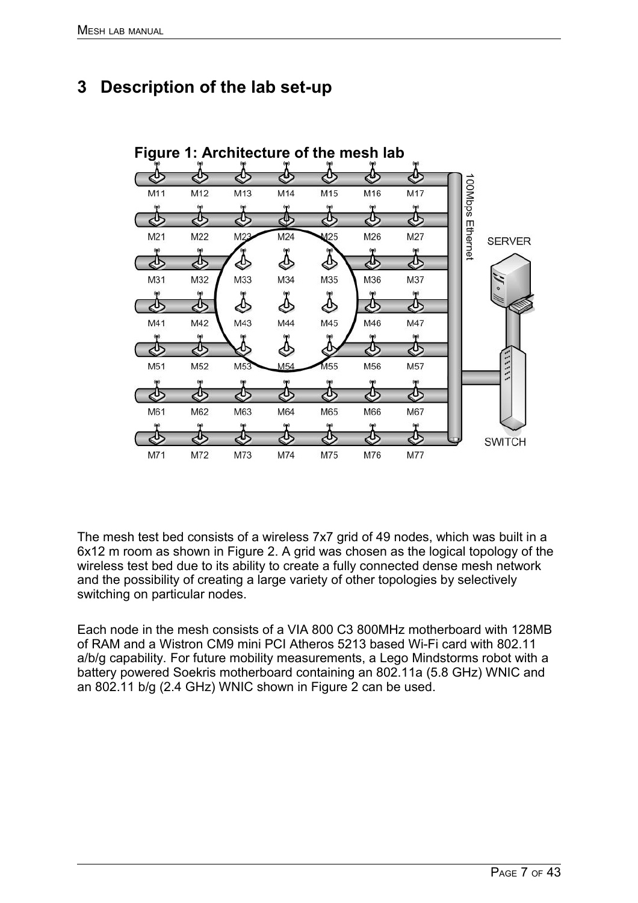# **3 Description of the lab set-up**

<span id="page-6-0"></span>

The mesh test bed consists of a wireless 7x7 grid of 49 nodes, which was built in a 6x12 m room as shown in Figure [2.](#page-7-0) A grid was chosen as the logical topology of the wireless test bed due to its ability to create a fully connected dense mesh network and the possibility of creating a large variety of other topologies by selectively switching on particular nodes.

Each node in the mesh consists of a VIA 800 C3 800MHz motherboard with 128MB of RAM and a Wistron CM9 mini PCI Atheros 5213 based Wi-Fi card with 802.11 a/b/g capability. For future mobility measurements, a Lego Mindstorms robot with a battery powered Soekris motherboard containing an 802.11a (5.8 GHz) WNIC and an 802.11 b/g (2.4 GHz) WNIC shown in Figure [2](#page-7-0) can be used.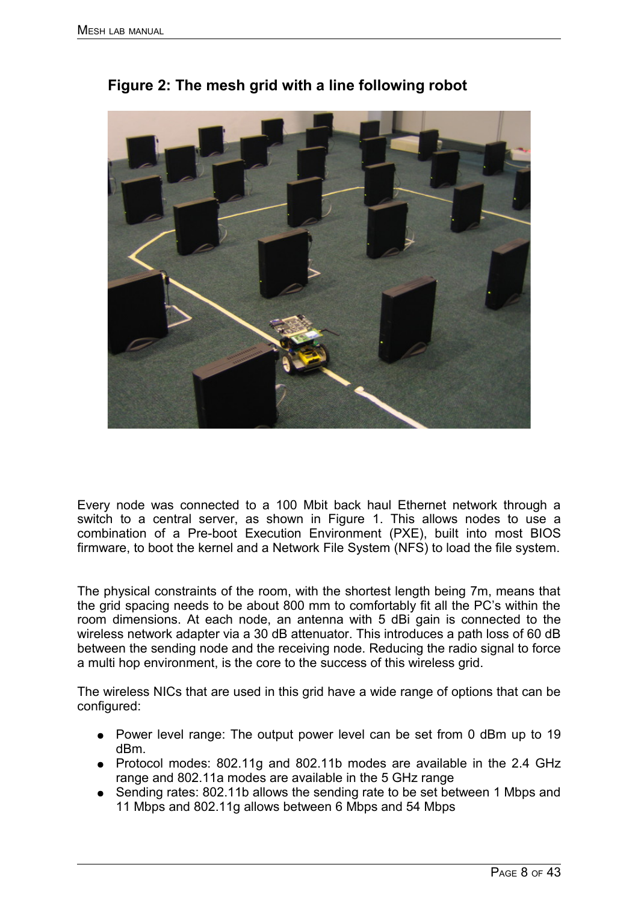

<span id="page-7-0"></span>

Every node was connected to a 100 Mbit back haul Ethernet network through a switch to a central server, as shown in Figure [1.](#page-6-0) This allows nodes to use a combination of a Pre-boot Execution Environment (PXE), built into most BIOS firmware, to boot the kernel and a Network File System (NFS) to load the file system.

The physical constraints of the room, with the shortest length being 7m, means that the grid spacing needs to be about 800 mm to comfortably fit all the PC's within the room dimensions. At each node, an antenna with 5 dBi gain is connected to the wireless network adapter via a 30 dB attenuator. This introduces a path loss of 60 dB between the sending node and the receiving node. Reducing the radio signal to force a multi hop environment, is the core to the success of this wireless grid.

The wireless NICs that are used in this grid have a wide range of options that can be configured:

- Power level range: The output power level can be set from 0 dBm up to 19 dBm.
- Protocol modes: 802.11g and 802.11b modes are available in the 2.4 GHz range and 802.11a modes are available in the 5 GHz range
- Sending rates: 802.11b allows the sending rate to be set between 1 Mbps and 11 Mbps and 802.11g allows between 6 Mbps and 54 Mbps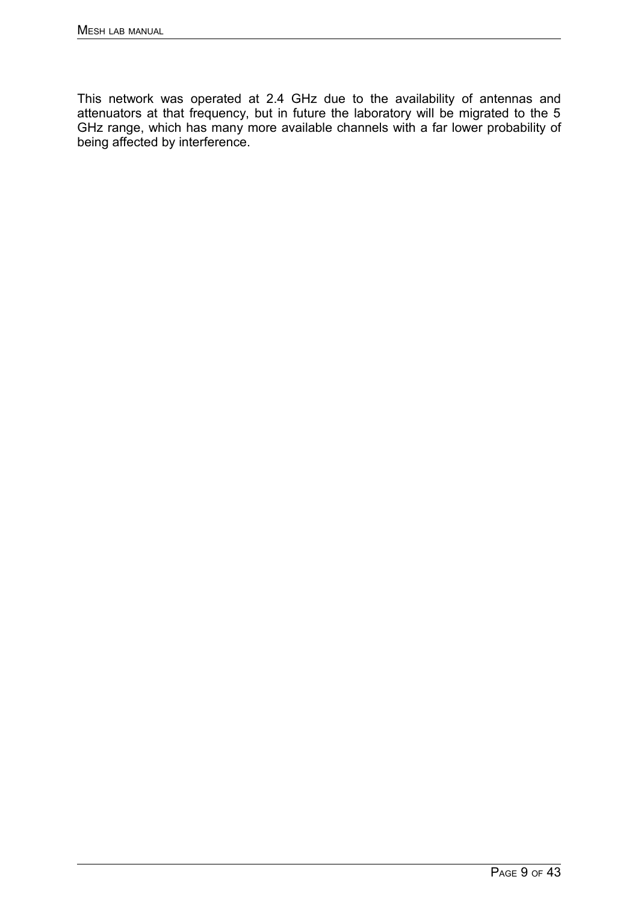This network was operated at 2.4 GHz due to the availability of antennas and attenuators at that frequency, but in future the laboratory will be migrated to the 5 GHz range, which has many more available channels with a far lower probability of being affected by interference.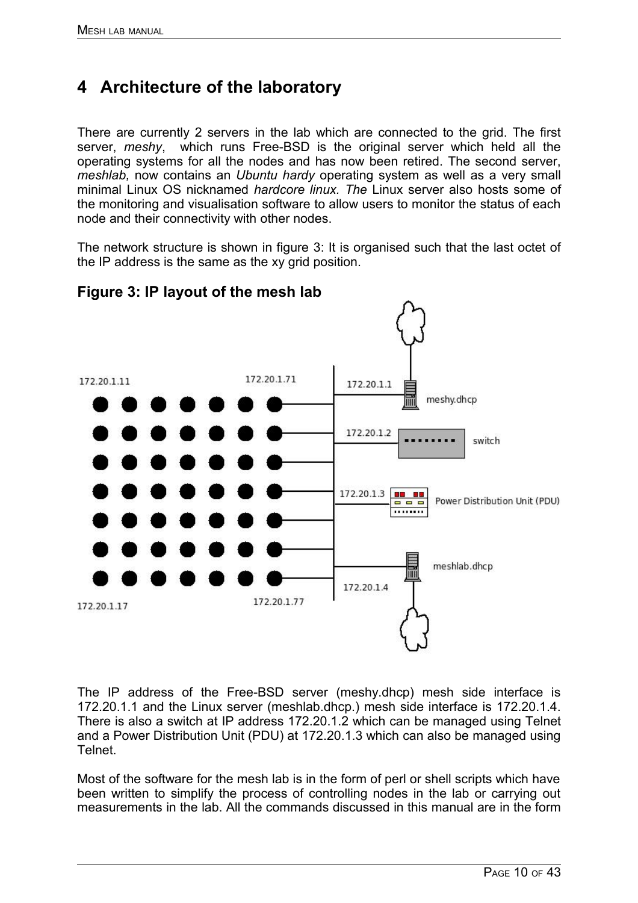# <span id="page-9-0"></span>**4 Architecture of the laboratory**

There are currently 2 servers in the lab which are connected to the grid. The first server, *meshy*, which runs Free-BSD is the original server which held all the operating systems for all the nodes and has now been retired. The second server, *meshlab,* now contains an *Ubuntu hardy* operating system as well as a very small minimal Linux OS nicknamed *hardcore linux. The* Linux server also hosts some of the monitoring and visualisation software to allow users to monitor the status of each node and their connectivity with other nodes.

The network structure is shown in figure [3:](#page-9-1) It is organised such that the last octet of the IP address is the same as the xy grid position.



## <span id="page-9-1"></span>**Figure 3: IP layout of the mesh lab**

The IP address of the Free-BSD server (meshy.dhcp) mesh side interface is 172.20.1.1 and the Linux server (meshlab.dhcp.) mesh side interface is 172.20.1.4. There is also a switch at IP address 172.20.1.2 which can be managed using Telnet and a Power Distribution Unit (PDU) at 172.20.1.3 which can also be managed using Telnet.

Most of the software for the mesh lab is in the form of perl or shell scripts which have been written to simplify the process of controlling nodes in the lab or carrying out measurements in the lab. All the commands discussed in this manual are in the form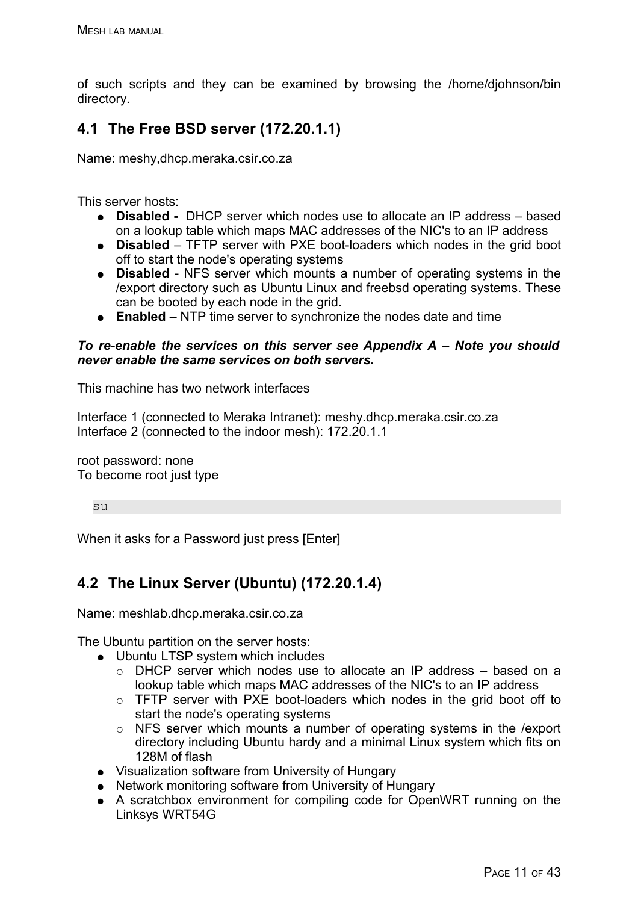of such scripts and they can be examined by browsing the /home/djohnson/bin directory.

## **4.1 The Free BSD server (172.20.1.1)**

Name: meshy,dhcp.meraka.csir.co.za

This server hosts:

- **Disabled** DHCP server which nodes use to allocate an IP address based on a lookup table which maps MAC addresses of the NIC's to an IP address
- **Disabled** TFTP server with PXE boot-loaders which nodes in the grid boot off to start the node's operating systems
- **Disabled** NFS server which mounts a number of operating systems in the /export directory such as Ubuntu Linux and freebsd operating systems. These can be booted by each node in the grid.
- **Enabled** NTP time server to synchronize the nodes date and time

### *To re-enable the services on this server see Appendix A – Note you should never enable the same services on both servers.*

This machine has two network interfaces

Interface 1 (connected to Meraka Intranet): meshy.dhcp.meraka.csir.co.za Interface 2 (connected to the indoor mesh): 172.20.1.1

root password: none To become root just type

su

When it asks for a Password just press [Enter]

# **4.2 The Linux Server (Ubuntu) (172.20.1.4)**

Name: meshlab.dhcp.meraka.csir.co.za

The Ubuntu partition on the server hosts:

- Ubuntu LTSP system which includes
	- DHCP server which nodes use to allocate an IP address based on a lookup table which maps MAC addresses of the NIC's to an IP address
	- o TFTP server with PXE boot-loaders which nodes in the grid boot off to start the node's operating systems
	- NFS server which mounts a number of operating systems in the /export directory including Ubuntu hardy and a minimal Linux system which fits on 128M of flash
- Visualization software from University of Hungary
- Network monitoring software from University of Hungary
- A scratchbox environment for compiling code for OpenWRT running on the Linksys WRT54G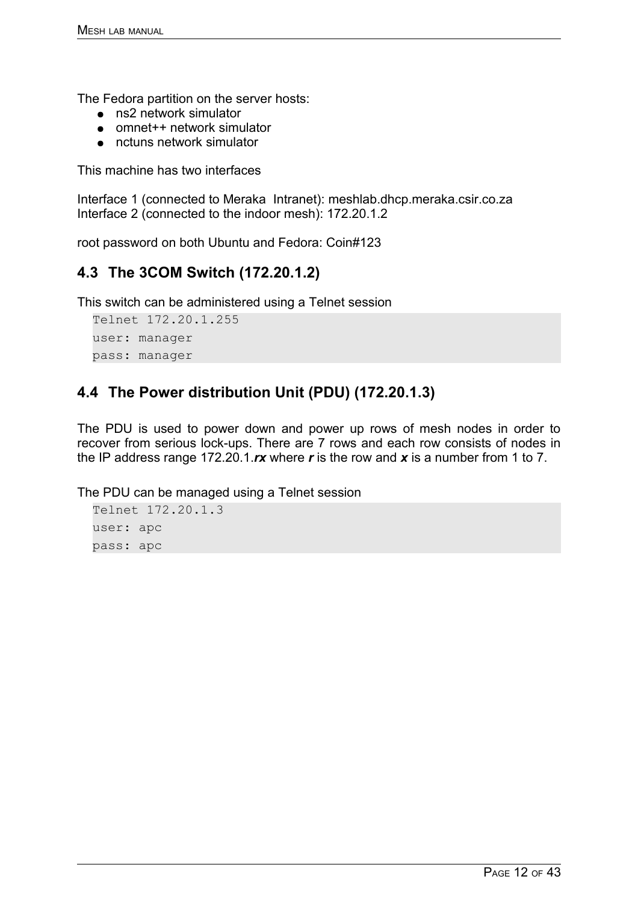The Fedora partition on the server hosts:

- ns2 network simulator
- omnet++ network simulator
- nctuns network simulator

This machine has two interfaces

Interface 1 (connected to Meraka Intranet): meshlab.dhcp.meraka.csir.co.za Interface 2 (connected to the indoor mesh): 172.20.1.2

root password on both Ubuntu and Fedora: Coin#123

## **4.3 The 3COM Switch (172.20.1.2)**

This switch can be administered using a Telnet session

Telnet 172.20.1.255 user: manager pass: manager

## **4.4 The Power distribution Unit (PDU) (172.20.1.3)**

The PDU is used to power down and power up rows of mesh nodes in order to recover from serious lock-ups. There are 7 rows and each row consists of nodes in the IP address range 172.20.1.*rx* where *r* is the row and *x* is a number from 1 to 7.

The PDU can be managed using a Telnet session

```
Telnet 172.20.1.3
user: apc
pass: apc
```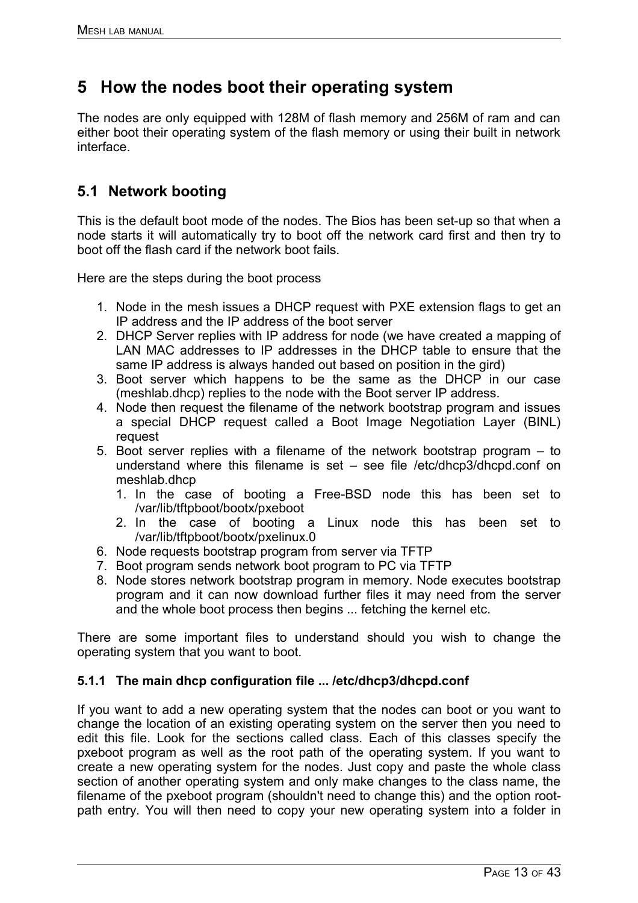# **5 How the nodes boot their operating system**

The nodes are only equipped with 128M of flash memory and 256M of ram and can either boot their operating system of the flash memory or using their built in network interface.

## **5.1 Network booting**

This is the default boot mode of the nodes. The Bios has been set-up so that when a node starts it will automatically try to boot off the network card first and then try to boot off the flash card if the network boot fails.

Here are the steps during the boot process

- 1. Node in the mesh issues a DHCP request with PXE extension flags to get an IP address and the IP address of the boot server
- 2. DHCP Server replies with IP address for node (we have created a mapping of LAN MAC addresses to IP addresses in the DHCP table to ensure that the same IP address is always handed out based on position in the gird)
- 3. Boot server which happens to be the same as the DHCP in our case (meshlab.dhcp) replies to the node with the Boot server IP address.
- 4. Node then request the filename of the network bootstrap program and issues a special DHCP request called a Boot Image Negotiation Layer (BINL) request
- 5. Boot server replies with a filename of the network bootstrap program to understand where this filename is set – see file /etc/dhcp3/dhcpd.conf on meshlab.dhcp
	- 1. In the case of booting a Free-BSD node this has been set to /var/lib/tftpboot/bootx/pxeboot
	- 2. In the case of booting a Linux node this has been set to /var/lib/tftpboot/bootx/pxelinux.0
- 6. Node requests bootstrap program from server via TFTP
- 7. Boot program sends network boot program to PC via TFTP
- 8. Node stores network bootstrap program in memory. Node executes bootstrap program and it can now download further files it may need from the server and the whole boot process then begins ... fetching the kernel etc.

There are some important files to understand should you wish to change the operating system that you want to boot.

## **5.1.1 The main dhcp configuration file ... /etc/dhcp3/dhcpd.conf**

If you want to add a new operating system that the nodes can boot or you want to change the location of an existing operating system on the server then you need to edit this file. Look for the sections called class. Each of this classes specify the pxeboot program as well as the root path of the operating system. If you want to create a new operating system for the nodes. Just copy and paste the whole class section of another operating system and only make changes to the class name, the filename of the pxeboot program (shouldn't need to change this) and the option rootpath entry. You will then need to copy your new operating system into a folder in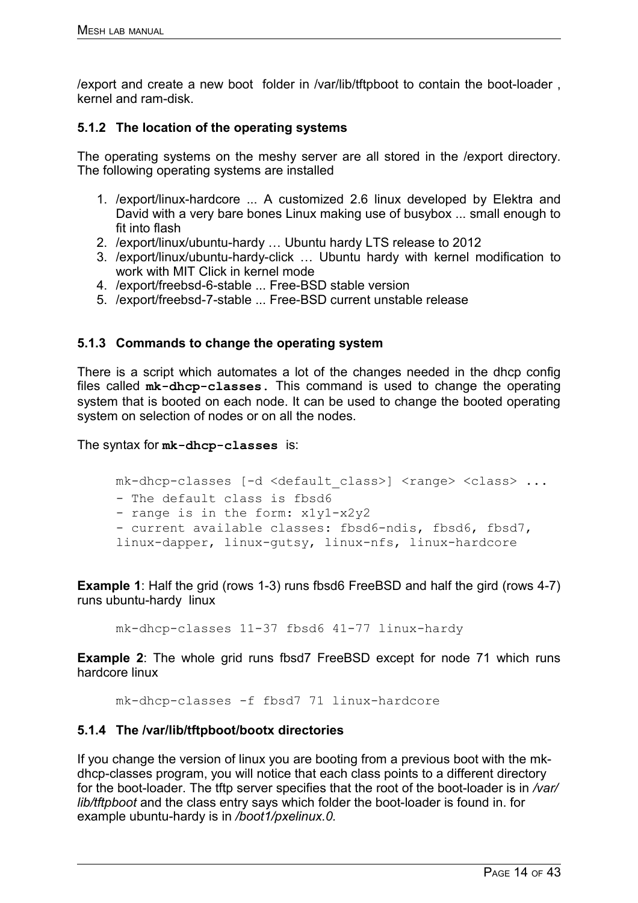/export and create a new boot folder in /var/lib/tftpboot to contain the boot-loader , kernel and ram-disk.

### **5.1.2 The location of the operating systems**

The operating systems on the meshy server are all stored in the /export directory. The following operating systems are installed

- 1. /export/linux-hardcore ... A customized 2.6 linux developed by Elektra and David with a very bare bones Linux making use of busybox ... small enough to fit into flash
- 2. /export/linux/ubuntu-hardy … Ubuntu hardy LTS release to 2012
- 3. /export/linux/ubuntu-hardy-click … Ubuntu hardy with kernel modification to work with MIT Click in kernel mode
- 4. /export/freebsd-6-stable ... Free-BSD stable version
- 5. /export/freebsd-7-stable ... Free-BSD current unstable release

### <span id="page-13-0"></span>**5.1.3 Commands to change the operating system**

There is a script which automates a lot of the changes needed in the dhcp config files called **mk-dhcp-classes.** This command is used to change the operating system that is booted on each node. It can be used to change the booted operating system on selection of nodes or on all the nodes.

The syntax for **mk-dhcp-classes** is:

```
mk-dhcp-classes [-d <default class>] <range> <class> ...
- The default class is fbsd6
- range is in the form: x1y1-x2y2
- current available classes: fbsd6-ndis, fbsd6, fbsd7,
linux-dapper, linux-gutsy, linux-nfs, linux-hardcore
```
**Example 1:** Half the grid (rows 1-3) runs fbsd6 FreeBSD and half the gird (rows 4-7) runs ubuntu-hardy linux

mk-dhcp-classes 11-37 fbsd6 41-77 linux-hardy

**Example 2:** The whole grid runs fbsd7 FreeBSD except for node 71 which runs hardcore linux

mk-dhcp-classes -f fbsd7 71 linux-hardcore

### **5.1.4 The /var/lib/tftpboot/bootx directories**

If you change the version of linux you are booting from a previous boot with the mkdhcp-classes program, you will notice that each class points to a different directory for the boot-loader. The tftp server specifies that the root of the boot-loader is in */var/ lib/tftpboot* and the class entry says which folder the boot-loader is found in. for example ubuntu-hardy is in */boot1/pxelinux.0.*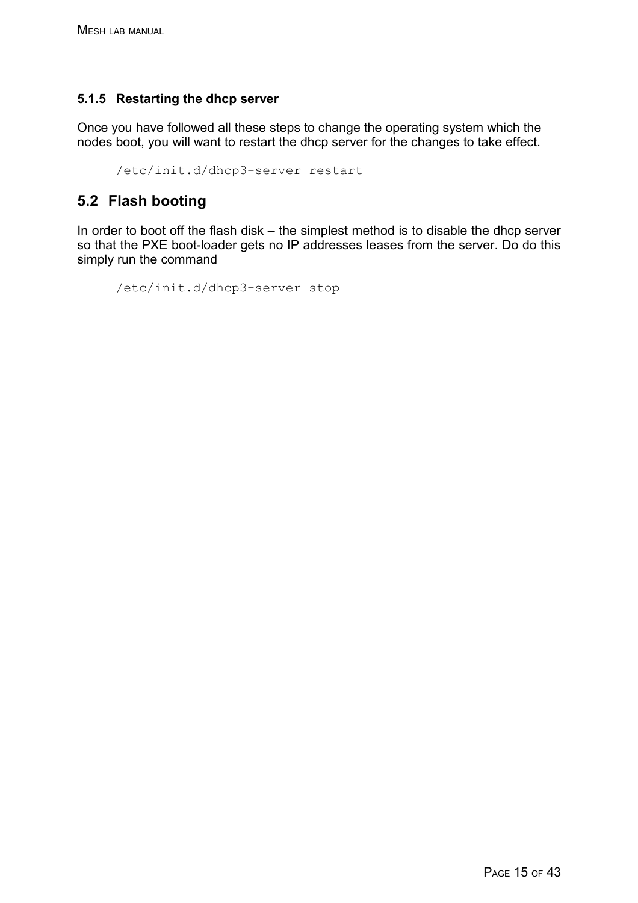## **5.1.5 Restarting the dhcp server**

Once you have followed all these steps to change the operating system which the nodes boot, you will want to restart the dhcp server for the changes to take effect.

```
/etc/init.d/dhcp3-server restart
```
## **5.2 Flash booting**

In order to boot off the flash disk – the simplest method is to disable the dhcp server so that the PXE boot-loader gets no IP addresses leases from the server. Do do this simply run the command

```
/etc/init.d/dhcp3-server stop
```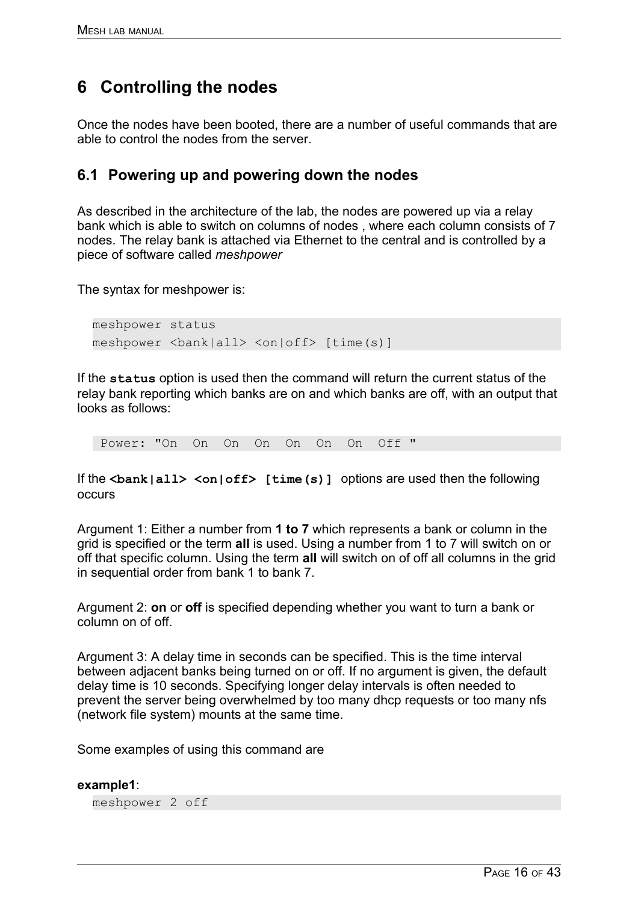# **6 Controlling the nodes**

Once the nodes have been booted, there are a number of useful commands that are able to control the nodes from the server.

## **6.1 Powering up and powering down the nodes**

As described in the architecture of the lab, the nodes are powered up via a relay bank which is able to switch on columns of nodes , where each column consists of 7 nodes. The relay bank is attached via Ethernet to the central and is controlled by a piece of software called *meshpower*

The syntax for meshpower is:

meshpower status meshpower <br/>bank|all> <on|off> [time(s)]

If the **status** option is used then the command will return the current status of the relay bank reporting which banks are on and which banks are off, with an output that looks as follows:

Power: "On On On On On On On Off "

If the <bank|all> <on|off> [time(s)] options are used then the following occurs

Argument 1: Either a number from **1 to 7** which represents a bank or column in the grid is specified or the term **all** is used. Using a number from 1 to 7 will switch on or off that specific column. Using the term **all** will switch on of off all columns in the grid in sequential order from bank 1 to bank 7.

Argument 2: **on** or **off** is specified depending whether you want to turn a bank or column on of off.

Argument 3: A delay time in seconds can be specified. This is the time interval between adjacent banks being turned on or off. If no argument is given, the default delay time is 10 seconds. Specifying longer delay intervals is often needed to prevent the server being overwhelmed by too many dhcp requests or too many nfs (network file system) mounts at the same time.

Some examples of using this command are

#### **example1**:

meshpower 2 off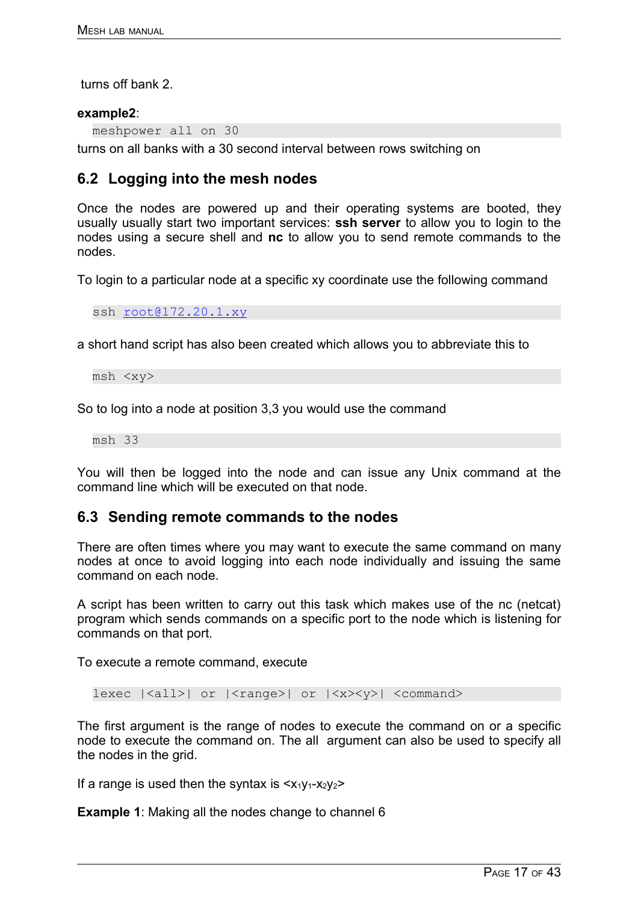turns off bank 2.

### **example2**:

meshpower all on 30

turns on all banks with a 30 second interval between rows switching on

## **6.2 Logging into the mesh nodes**

Once the nodes are powered up and their operating systems are booted, they usually usually start two important services: **ssh server** to allow you to login to the nodes using a secure shell and **nc** to allow you to send remote commands to the nodes.

To login to a particular node at a specific xy coordinate use the following command

ssh [root@172.20.1.xy](mailto:root@172.20.1.xy)

a short hand script has also been created which allows you to abbreviate this to

msh <xy>

So to log into a node at position 3,3 you would use the command

msh 33

You will then be logged into the node and can issue any Unix command at the command line which will be executed on that node.

## **6.3 Sending remote commands to the nodes**

There are often times where you may want to execute the same command on many nodes at once to avoid logging into each node individually and issuing the same command on each node.

A script has been written to carry out this task which makes use of the nc (netcat) program which sends commands on a specific port to the node which is listening for commands on that port.

To execute a remote command, execute

lexec  $|\langle \text{all}\rangle|$  or  $|\langle \text{range}\rangle|$  or  $|\langle \text{xx}\rangle \langle \text{yy}\rangle|$  <command>

The first argument is the range of nodes to execute the command on or a specific node to execute the command on. The all argument can also be used to specify all the nodes in the grid.

If a range is used then the syntax is  $\langle x_1y_1-x_2y_2\rangle$ 

**Example 1:** Making all the nodes change to channel 6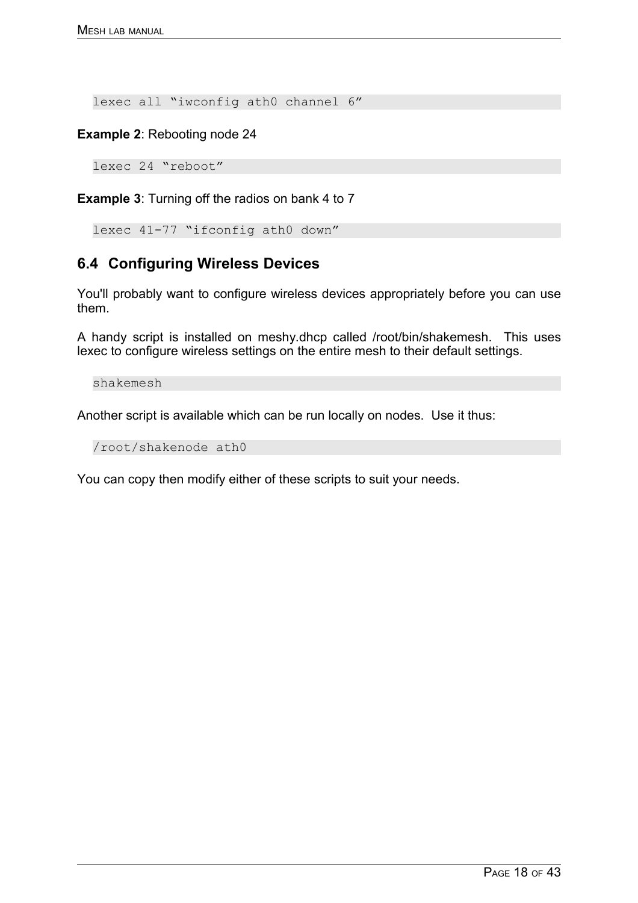lexec all "iwconfig ath0 channel 6"

**Example 2**: Rebooting node 24

lexec 24 "reboot"

**Example 3**: Turning off the radios on bank 4 to 7

```
lexec 41-77 "ifconfig ath0 down"
```
# **6.4 Configuring Wireless Devices**

You'll probably want to configure wireless devices appropriately before you can use them.

A handy script is installed on meshy.dhcp called /root/bin/shakemesh. This uses lexec to configure wireless settings on the entire mesh to their default settings.

shakemesh

Another script is available which can be run locally on nodes. Use it thus:

/root/shakenode ath0

You can copy then modify either of these scripts to suit your needs.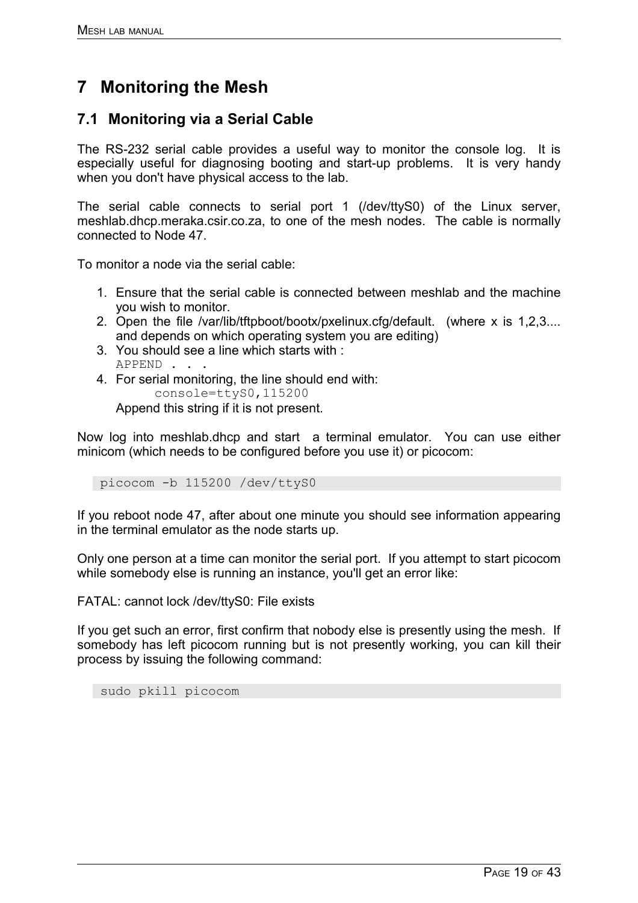# **7 Monitoring the Mesh**

## **7.1 Monitoring via a Serial Cable**

The RS-232 serial cable provides a useful way to monitor the console log. It is especially useful for diagnosing booting and start-up problems. It is very handy when you don't have physical access to the lab.

The serial cable connects to serial port 1 (/dev/ttyS0) of the Linux server, meshlab.dhcp.meraka.csir.co.za, to one of the mesh nodes. The cable is normally connected to Node 47.

To monitor a node via the serial cable:

- 1. Ensure that the serial cable is connected between meshlab and the machine you wish to monitor.
- 2. Open the file /var/lib/tftpboot/bootx/pxelinux.cfg/default. (where x is 1,2,3.... and depends on which operating system you are editing)
- 3. You should see a line which starts with : APPEND . . .
- 4. For serial monitoring, the line should end with: console=ttyS0,115200 Append this string if it is not present.

Now log into meshlab.dhcp and start a terminal emulator. You can use either minicom (which needs to be configured before you use it) or picocom:

picocom -b 115200 /dev/ttyS0

If you reboot node 47, after about one minute you should see information appearing in the terminal emulator as the node starts up.

Only one person at a time can monitor the serial port. If you attempt to start picocom while somebody else is running an instance, you'll get an error like:

FATAL: cannot lock /dev/ttyS0: File exists

If you get such an error, first confirm that nobody else is presently using the mesh. If somebody has left picocom running but is not presently working, you can kill their process by issuing the following command:

sudo pkill picocom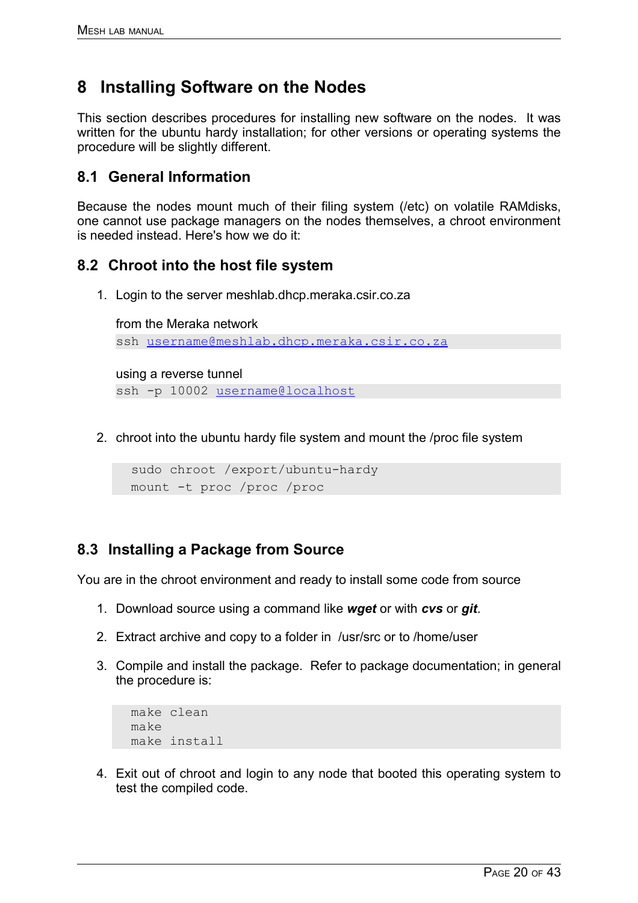# **8 Installing Software on the Nodes**

This section describes procedures for installing new software on the nodes. It was written for the ubuntu hardy installation; for other versions or operating systems the procedure will be slightly different.

## **8.1 General Information**

Because the nodes mount much of their filing system (/etc) on volatile RAMdisks, one cannot use package managers on the nodes themselves, a chroot environment is needed instead. Here's how we do it:

## **8.2 Chroot into the host file system**

1. Login to the server meshlab.dhcp.meraka.csir.co.za

from the Meraka network ssh [username@meshlab.dhcp.meraka.csir.co.za](mailto:username@meshlab.dhcp.meraka.csir.co.za)

using a reverse tunnel

ssh -p 10002 [username@localhost](mailto:username@localhost)

2. chroot into the ubuntu hardy file system and mount the /proc file system

```
sudo chroot /export/ubuntu-hardy
mount -t proc /proc /proc
```
## **8.3 Installing a Package from Source**

You are in the chroot environment and ready to install some code from source

- 1. Download source using a command like *wget* or with *cvs* or *git*.
- 2. Extract archive and copy to a folder in /usr/src or to /home/user
- 3. Compile and install the package. Refer to package documentation; in general the procedure is:

```
make clean
make
make install
```
4. Exit out of chroot and login to any node that booted this operating system to test the compiled code.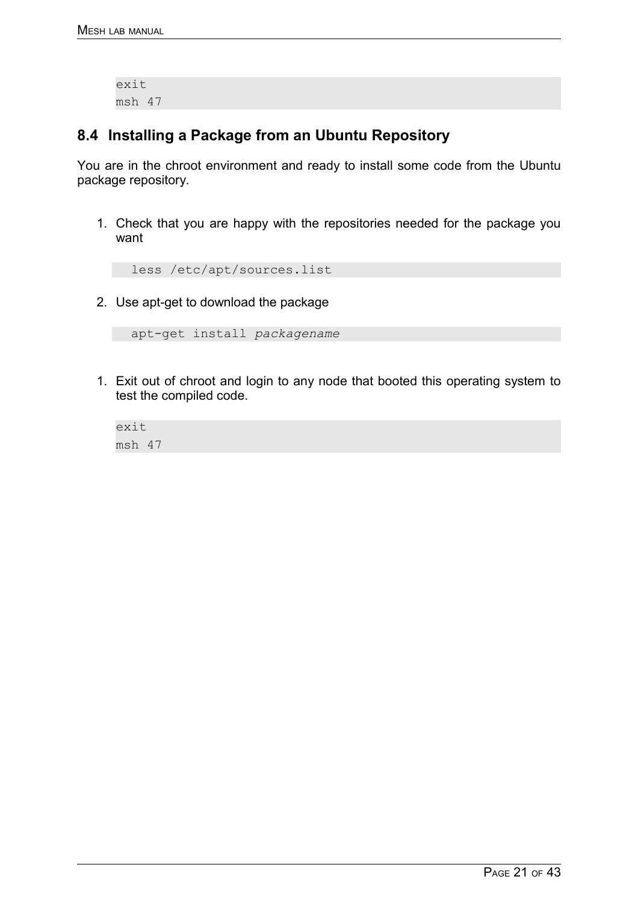exit msh 47

## **8.4 Installing a Package from an Ubuntu Repository**

You are in the chroot environment and ready to install some code from the Ubuntu package repository.

1. Check that you are happy with the repositories needed for the package you want

```
less /etc/apt/sources.list
```
2. Use apt-get to download the package

```
apt-get install packagename
```
1. Exit out of chroot and login to any node that booted this operating system to test the compiled code.

```
exit
msh 47
```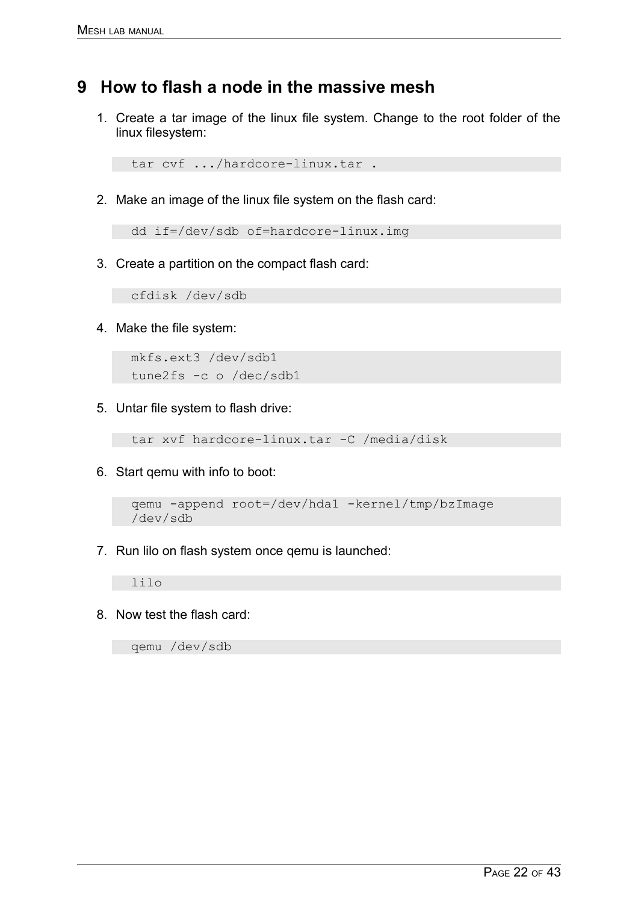# **9 How to flash a node in the massive mesh**

1. Create a tar image of the linux file system. Change to the root folder of the linux filesystem:

```
tar cvf .../hardcore-linux.tar .
```
2. Make an image of the linux file system on the flash card:

```
dd if=/dev/sdb of=hardcore-linux.img
```
3. Create a partition on the compact flash card:

cfdisk /dev/sdb

4. Make the file system:

```
mkfs.ext3 /dev/sdb1
tune2fs -c o /dec/sdb1
```
5. Untar file system to flash drive:

```
tar xvf hardcore-linux.tar -C /media/disk
```
6. Start qemu with info to boot:

```
qemu -append root=/dev/hda1 -kernel/tmp/bzImage
/dev/sdb
```
7. Run lilo on flash system once qemu is launched:

lilo

8. Now test the flash card:

qemu /dev/sdb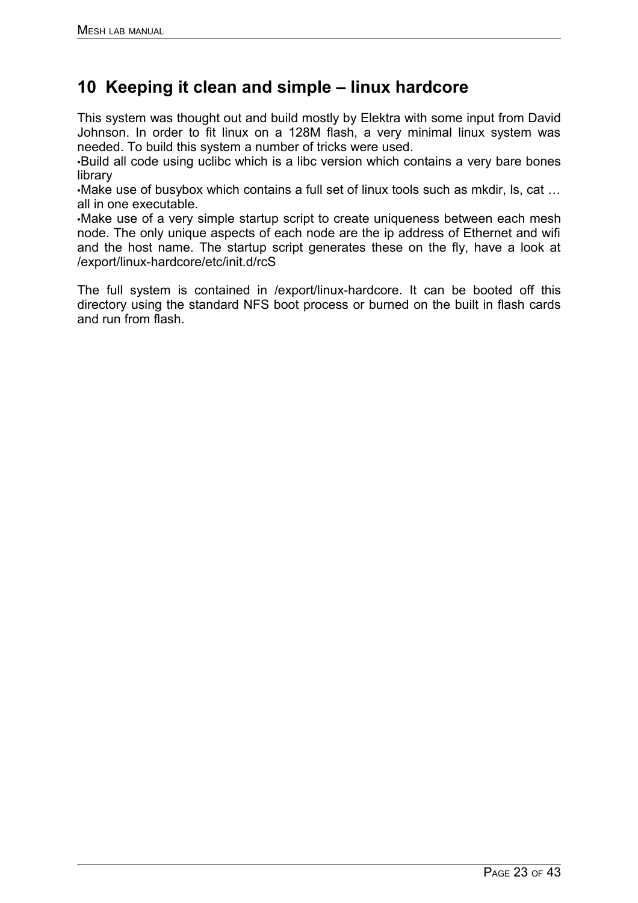# **10 Keeping it clean and simple – linux hardcore**

This system was thought out and build mostly by Elektra with some input from David Johnson. In order to fit linux on a 128M flash, a very minimal linux system was needed. To build this system a number of tricks were used.

•Build all code using uclibc which is a libc version which contains a very bare bones library

•Make use of busybox which contains a full set of linux tools such as mkdir, ls, cat … all in one executable.

•Make use of a very simple startup script to create uniqueness between each mesh node. The only unique aspects of each node are the ip address of Ethernet and wifi and the host name. The startup script generates these on the fly, have a look at /export/linux-hardcore/etc/init.d/rcS

The full system is contained in /export/linux-hardcore. It can be booted off this directory using the standard NFS boot process or burned on the built in flash cards and run from flash.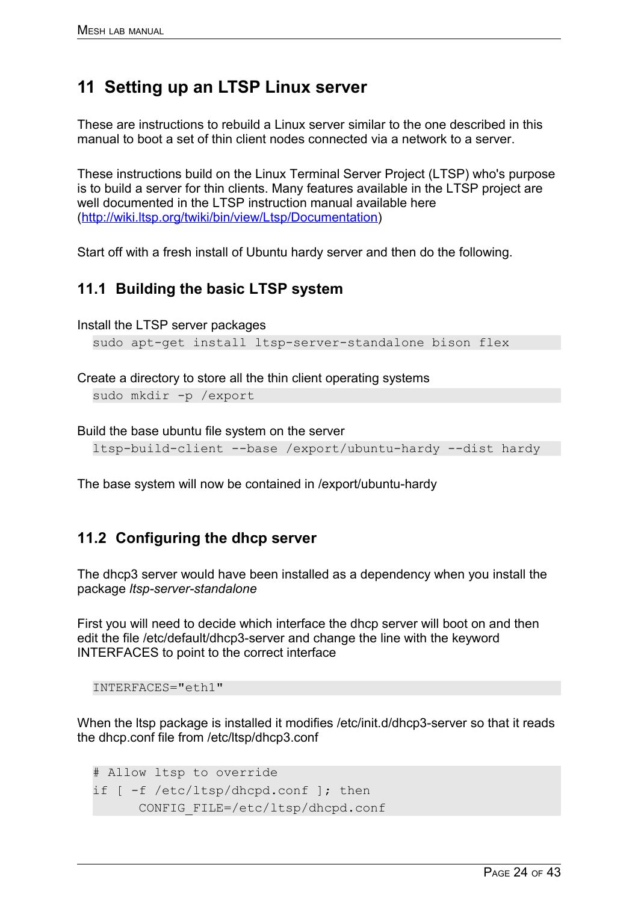# **11 Setting up an LTSP Linux server**

These are instructions to rebuild a Linux server similar to the one described in this manual to boot a set of thin client nodes connected via a network to a server.

These instructions build on the Linux Terminal Server Project (LTSP) who's purpose is to build a server for thin clients. Many features available in the LTSP project are well documented in the LTSP instruction manual available here [\(http://wiki.ltsp.org/twiki/bin/view/Ltsp/Documentation\)](http://wiki.ltsp.org/twiki/bin/view/Ltsp/Documentation)

Start off with a fresh install of Ubuntu hardy server and then do the following.

## <span id="page-23-0"></span>**11.1 Building the basic LTSP system**

Install the LTSP server packages

sudo apt-get install ltsp-server-standalone bison flex

Create a directory to store all the thin client operating systems sudo mkdir -p /export

Build the base ubuntu file system on the server

ltsp-build-client --base /export/ubuntu-hardy --dist hardy

The base system will now be contained in /export/ubuntu-hardy

## **11.2 Configuring the dhcp server**

The dhcp3 server would have been installed as a dependency when you install the package *ltsp-server-standalone*

First you will need to decide which interface the dhcp server will boot on and then edit the file /etc/default/dhcp3-server and change the line with the keyword INTERFACES to point to the correct interface

INTERFACES="eth1"

When the Itsp package is installed it modifies /etc/init.d/dhcp3-server so that it reads the dhcp.conf file from /etc/ltsp/dhcp3.conf

```
# Allow ltsp to override 
if [ -f /etc/ltsp/dhcpd.conf ]; then 
       CONFIG_FILE=/etc/ltsp/dhcpd.conf
```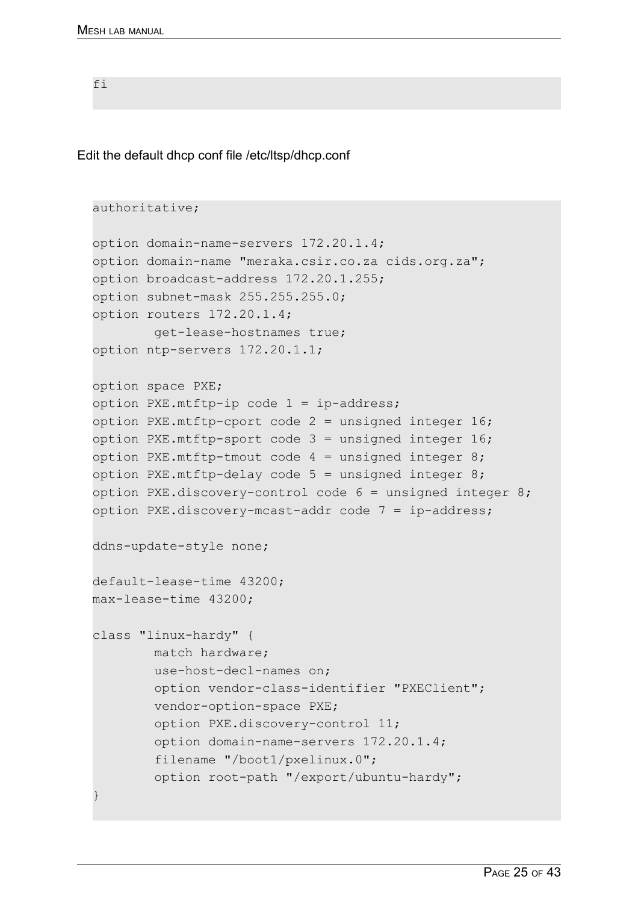fi

Edit the default dhcp conf file /etc/ltsp/dhcp.conf

```
authoritative; 
option domain-name-servers 172.20.1.4; 
option domain-name "meraka.csir.co.za cids.org.za"; 
option broadcast-address 172.20.1.255; 
option subnet-mask 255.255.255.0; 
option routers 172.20.1.4; 
         get-lease-hostnames true; 
option ntp-servers 172.20.1.1; 
option space PXE; 
option PXE.mtftp-ip code 1 = ip-address; 
option PXE. mtftp-cport code 2 = unsigned integer 16;
option PXE.mtftp-sport code 3 = unsigned integer 16;
option PXE.mtftp-tmout code 4 = unsigned integer 8;
option PXE. mtftp-delay code 5 = unsigned integer 8;
option PXE.discovery-control code 6 = unsigned integer 8;
option PXE.discovery-mcast-addr code 7 = ip-address;ddns-update-style none; 
default-lease-time 43200; 
max-lease-time 43200;
class "linux-hardy" { 
         match hardware; 
         use-host-decl-names on; 
         option vendor-class-identifier "PXEClient"; 
         vendor-option-space PXE; 
         option PXE.discovery-control 11; 
         option domain-name-servers 172.20.1.4; 
         filename "/boot1/pxelinux.0"; 
         option root-path "/export/ubuntu-hardy"; 
}
```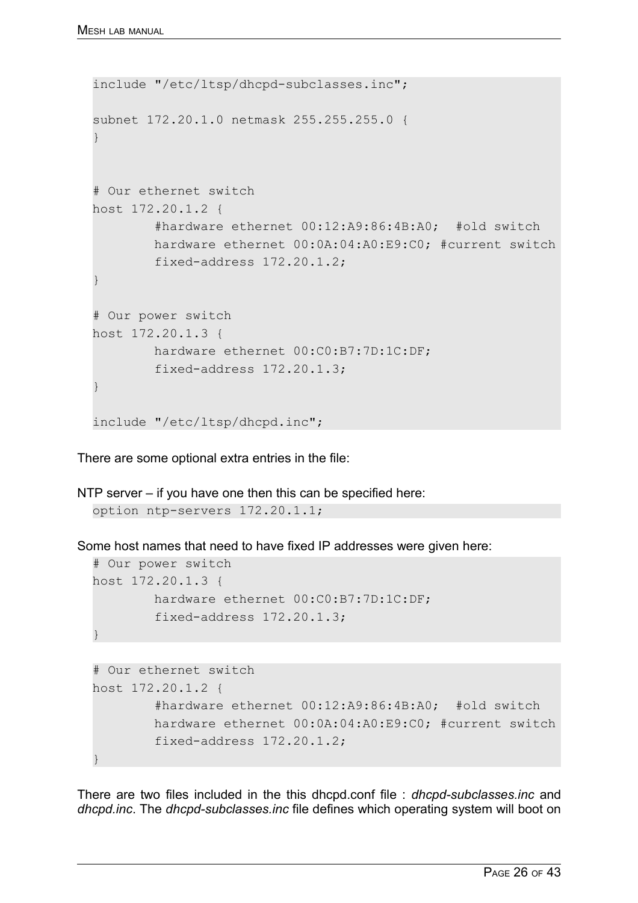```
include "/etc/ltsp/dhcpd-subclasses.inc"; 
subnet 172.20.1.0 netmask 255.255.255.0 { 
} 
# Our ethernet switch 
host 172.20.1.2 { 
         #hardware ethernet 00:12:A9:86:4B:A0; #old switch 
         hardware ethernet 00:0A:04:A0:E9:C0; #current switch
         fixed-address 172.20.1.2; 
} 
# Our power switch 
host 172.20.1.3 { 
         hardware ethernet 00:C0:B7:7D:1C:DF; 
         fixed-address 172.20.1.3; 
} 
include "/etc/ltsp/dhcpd.inc";
```
There are some optional extra entries in the file:

NTP server – if you have one then this can be specified here: option ntp-servers 172.20.1.1;

Some host names that need to have fixed IP addresses were given here:

```
# Our power switch 
host 172.20.1.3 { 
         hardware ethernet 00:C0:B7:7D:1C:DF; 
         fixed-address 172.20.1.3; 
}
```

```
# Our ethernet switch 
host 172.20.1.2 { 
         #hardware ethernet 00:12:A9:86:4B:A0; #old switch 
         hardware ethernet 00:0A:04:A0:E9:C0; #current switch
         fixed-address 172.20.1.2; 
}
```
There are two files included in the this dhcpd.conf file : *dhcpd-subclasses.inc* and *dhcpd.inc*. The *dhcpd-subclasses.inc* file defines which operating system will boot on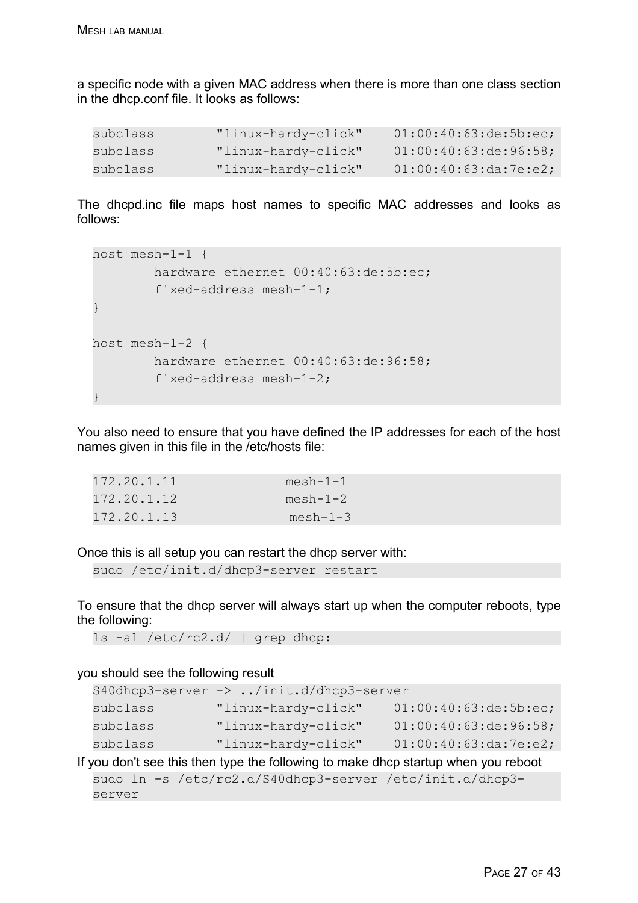a specific node with a given MAC address when there is more than one class section in the dhcp.conf file. It looks as follows:

| subclass | "linux-hardy-click" | 01:00:40:63:de:5b:ec; |
|----------|---------------------|-----------------------|
| subclass | "linux-hardy-click" | 01:00:40:63:de:96:58; |
| subclass | "linux-hardy-click" | 01:00:40:63:da:7e:e2; |

The dhcpd.inc file maps host names to specific MAC addresses and looks as follows:

```
host mesh-1-1 { 
         hardware ethernet 00:40:63:de:5b:ec; 
          fixed-address mesh-1-1; 
} 
host mesh-1-2 { 
         hardware ethernet 00:40:63:de:96:58; 
          fixed-address mesh-1-2; 
}
```
You also need to ensure that you have defined the IP addresses for each of the host names given in this file in the /etc/hosts file:

| 172.20.1.11 | $mesh-1-1$ |
|-------------|------------|
| 172.20.1.12 | $mesh-1-2$ |
| 172.20.1.13 | $mesh-1-3$ |

Once this is all setup you can restart the dhcp server with:

```
sudo /etc/init.d/dhcp3-server restart
```
To ensure that the dhcp server will always start up when the computer reboots, type the following:

ls -al /etc/rc2.d/ | grep dhcp:

#### you should see the following result

```
S40dhcp3-server -> ../init.d/dhcp3-server
subclass "linux-hardy-click" 01:00:40:63:de:5b:ec;
subclass "linux-hardy-click" 01:00:40:63:de:96:58;
subclass "linux-hardy-click" 01:00:40:63:da:7e:e2;
```
## If you don't see this then type the following to make dhcp startup when you reboot

```
sudo ln -s /etc/rc2.d/S40dhcp3-server /etc/init.d/dhcp3-
server
```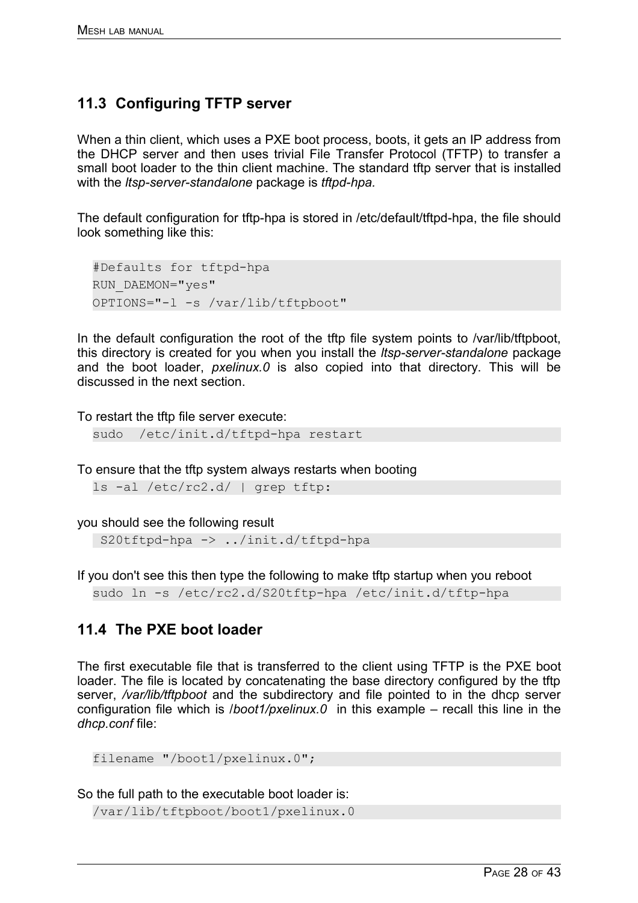# **11.3 Configuring TFTP server**

When a thin client, which uses a PXE boot process, boots, it gets an IP address from the DHCP server and then uses trivial File Transfer Protocol (TFTP) to transfer a small boot loader to the thin client machine. The standard tftp server that is installed with the *ltsp-server-standalone* package is *tftpd-hpa.*

The default configuration for tftp-hpa is stored in /etc/default/tftpd-hpa, the file should look something like this:

```
#Defaults for tftpd-hpa 
RUN_DAEMON="yes" 
OPTIONS="-l -s /var/lib/tftpboot"
```
In the default configuration the root of the tftp file system points to /var/lib/tftpboot. this directory is created for you when you install the *ltsp-server-standalone* package and the boot loader, *pxelinux.0* is also copied into that directory. This will be discussed in the next section.

To restart the tftp file server execute:

```
sudo /etc/init.d/tftpd-hpa restart
```
To ensure that the tftp system always restarts when booting

ls -al /etc/rc2.d/ | grep tftp:

you should see the following result

S20tftpd-hpa -> ../init.d/tftpd-hpa

If you don't see this then type the following to make tftp startup when you reboot

sudo ln -s /etc/rc2.d/S20tftp-hpa /etc/init.d/tftp-hpa

## **11.4 The PXE boot loader**

The first executable file that is transferred to the client using TFTP is the PXE boot loader. The file is located by concatenating the base directory configured by the tftp server, */var/lib/tftpboot* and the subdirectory and file pointed to in the dhcp server configuration file which is /*boot1/pxelinux.0* in this example – recall this line in the *dhcp.conf* file:

```
filename "/boot1/pxelinux.0";
```
So the full path to the executable boot loader is:

/var/lib/tftpboot/boot1/pxelinux.0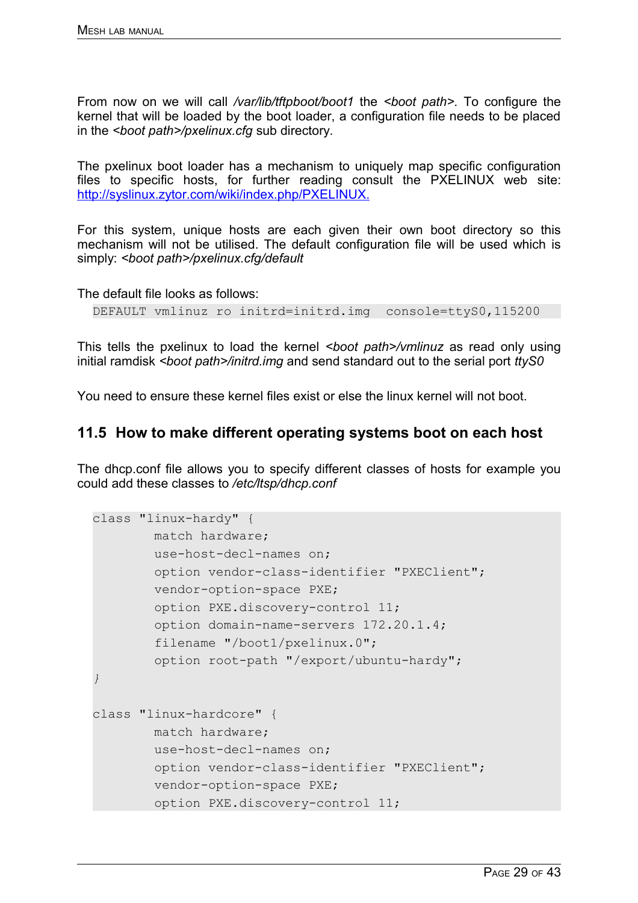From now on we will call */var/lib/tftpboot/boot1* the *<boot path>.* To configure the kernel that will be loaded by the boot loader, a configuration file needs to be placed in the *<boot path>/pxelinux.cfg* sub directory.

The pxelinux boot loader has a mechanism to uniquely map specific configuration files to specific hosts, for further reading consult the PXELINUX web site: [http://syslinux.zytor.com/wiki/index.php/PXELINUX.](http://syslinux.zytor.com/wiki/index.php/PXELINUX)

For this system, unique hosts are each given their own boot directory so this mechanism will not be utilised. The default configuration file will be used which is simply: *<boot path>/pxelinux.cfg/default*

The default file looks as follows:

```
DEFAULT vmlinuz ro initrd=initrd.img console=ttyS0,115200
```
This tells the pxelinux to load the kernel *<boot path>/vmlinuz* as read only using initial ramdisk *<boot path>/initrd.img* and send standard out to the serial port *ttyS0*

You need to ensure these kernel files exist or else the linux kernel will not boot.

## **11.5 How to make different operating systems boot on each host**

The dhcp.conf file allows you to specify different classes of hosts for example you could add these classes to */etc/ltsp/dhcp.conf*

```
class "linux-hardy" { 
         match hardware; 
         use-host-decl-names on; 
         option vendor-class-identifier "PXEClient"; 
         vendor-option-space PXE; 
         option PXE.discovery-control 11; 
         option domain-name-servers 172.20.1.4; 
         filename "/boot1/pxelinux.0"; 
         option root-path "/export/ubuntu-hardy"; 
} 
class "linux-hardcore" { 
         match hardware; 
         use-host-decl-names on; 
         option vendor-class-identifier "PXEClient"; 
         vendor-option-space PXE; 
         option PXE.discovery-control 11;
```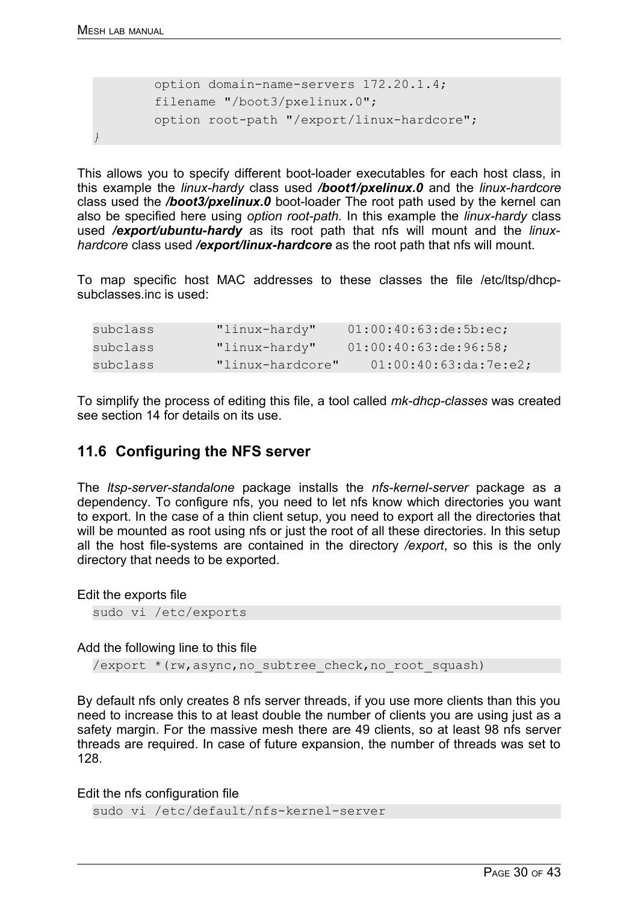*}* 

```
 option domain-name-servers 172.20.1.4; 
 filename "/boot3/pxelinux.0"; 
 option root-path "/export/linux-hardcore";
```
This allows you to specify different boot-loader executables for each host class, in this example the *linux-hardy* class used */boot1/pxelinux.0* and the *linux-hardcore* class used the */boot3/pxelinux.0* boot-loader The root path used by the kernel can also be specified here using *option root-path.* In this example the *linux-hardy* class used */export/ubuntu-hardy* as its root path that nfs will mount and the *linuxhardcore* class used */export/linux-hardcore* as the root path that nfs will mount.

To map specific host MAC addresses to these classes the file /etc/ltsp/dhcpsubclasses.inc is used:

subclass "linux-hardy" 01:00:40:63:de:5b:ec; subclass "linux-hardy" 01:00:40:63:de:96:58; subclass "linux-hardcore" 01:00:40:63:da:7e:e2;

To simplify the process of editing this file, a tool called *mk-dhcp-classes* was created see section [14](#page-13-0) for details on its use.

## **11.6 Configuring the NFS server**

The *ltsp-server-standalone* package installs the *nfs-kernel-server* package as a dependency. To configure nfs, you need to let nfs know which directories you want to export. In the case of a thin client setup, you need to export all the directories that will be mounted as root using nfs or just the root of all these directories. In this setup all the host file-systems are contained in the directory */export*, so this is the only directory that needs to be exported.

Edit the exports file

sudo vi /etc/exports

Add the following line to this file

/export \* (rw, async, no subtree check, no root squash)

By default nfs only creates 8 nfs server threads, if you use more clients than this you need to increase this to at least double the number of clients you are using just as a safety margin. For the massive mesh there are 49 clients, so at least 98 nfs server threads are required. In case of future expansion, the number of threads was set to 128.

Edit the nfs configuration file

sudo vi /etc/default/nfs-kernel-server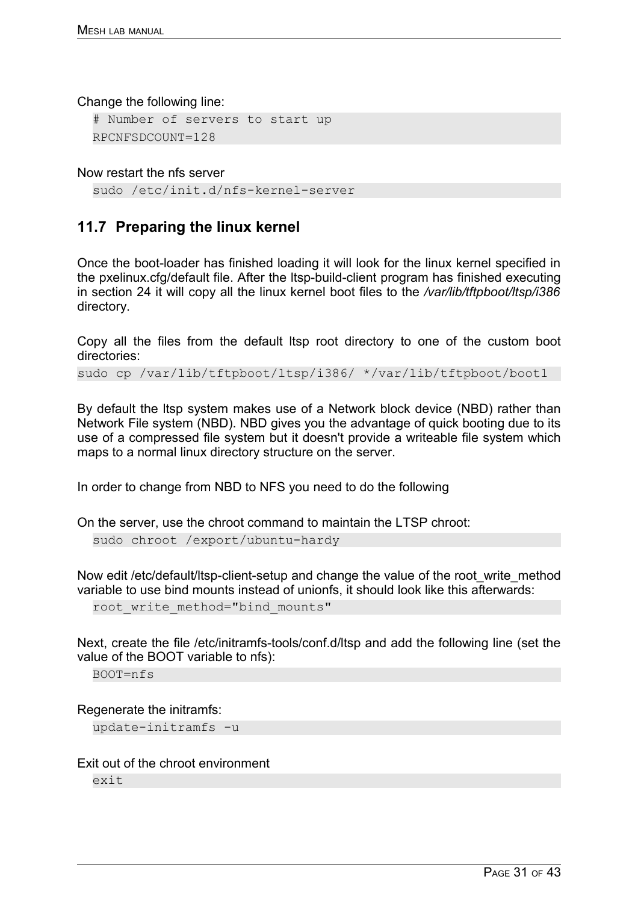Change the following line:

```
# Number of servers to start up 
RPCNFSDCOUNT=128
```
Now restart the nfs server

```
sudo /etc/init.d/nfs-kernel-server
```
# **11.7 Preparing the linux kernel**

Once the boot-loader has finished loading it will look for the linux kernel specified in the pxelinux.cfg/default file. After the ltsp-build-client program has finished executing in section [24](#page-23-0) it will copy all the linux kernel boot files to the */var/lib/tftpboot/ltsp/i386* directory.

Copy all the files from the default ltsp root directory to one of the custom boot directories:

sudo cp /var/lib/tftpboot/ltsp/i386/ \*/var/lib/tftpboot/boot1

By default the ltsp system makes use of a Network block device (NBD) rather than Network File system (NBD). NBD gives you the advantage of quick booting due to its use of a compressed file system but it doesn't provide a writeable file system which maps to a normal linux directory structure on the server.

In order to change from NBD to NFS you need to do the following

On the server, use the chroot command to maintain the LTSP chroot:

sudo chroot /export/ubuntu-hardy

Now edit /etc/default/ltsp-client-setup and change the value of the root write method variable to use bind mounts instead of unionfs, it should look like this afterwards:

root write method="bind mounts"

Next, create the file /etc/initramfs-tools/conf.d/ltsp and add the following line (set the value of the BOOT variable to nfs):

BOOT=nfs

Regenerate the initramfs:

update-initramfs -u

Exit out of the chroot environment

exit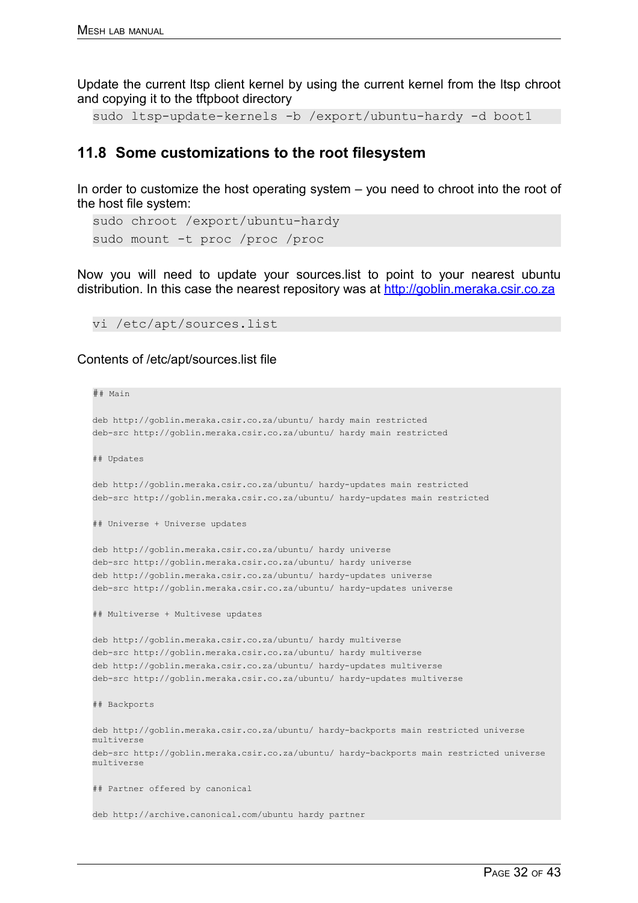Update the current ltsp client kernel by using the current kernel from the ltsp chroot and copying it to the tftpboot directory

```
sudo ltsp-update-kernels -b /export/ubuntu-hardy -d boot1
```
## **11.8 Some customizations to the root filesystem**

In order to customize the host operating system – you need to chroot into the root of the host file system:

```
sudo chroot /export/ubuntu-hardy
sudo mount -t proc /proc /proc
```
Now you will need to update your sources.list to point to your nearest ubuntu distribution. In this case the nearest repository was at [http://goblin.meraka.csir.co.za](http://goblin.meraka.csir.co.za/)

vi /etc/apt/sources.list

#### Contents of /etc/apt/sources.list file

```
## Main
```

```
deb http://goblin.meraka.csir.co.za/ubuntu/ hardy main restricted 
deb-src http://goblin.meraka.csir.co.za/ubuntu/ hardy main restricted
```
## Updates

deb http://goblin.meraka.csir.co.za/ubuntu/ hardy-updates main restricted deb-src http://goblin.meraka.csir.co.za/ubuntu/ hardy-updates main restricted

```
## Universe + Universe updates
```
deb http://goblin.meraka.csir.co.za/ubuntu/ hardy universe deb-src http://goblin.meraka.csir.co.za/ubuntu/ hardy universe deb http://goblin.meraka.csir.co.za/ubuntu/ hardy-updates universe deb-src http://goblin.meraka.csir.co.za/ubuntu/ hardy-updates universe

## Multiverse + Multivese updates

deb http://goblin.meraka.csir.co.za/ubuntu/ hardy multiverse deb-src http://goblin.meraka.csir.co.za/ubuntu/ hardy multiverse deb http://goblin.meraka.csir.co.za/ubuntu/ hardy-updates multiverse deb-src http://goblin.meraka.csir.co.za/ubuntu/ hardy-updates multiverse

```
## Backports
```
deb http://goblin.meraka.csir.co.za/ubuntu/ hardy-backports main restricted universe multiverse deb-src http://goblin.meraka.csir.co.za/ubuntu/ hardy-backports main restricted universe multiverse

## Partner offered by canonical

deb http://archive.canonical.com/ubuntu hardy partner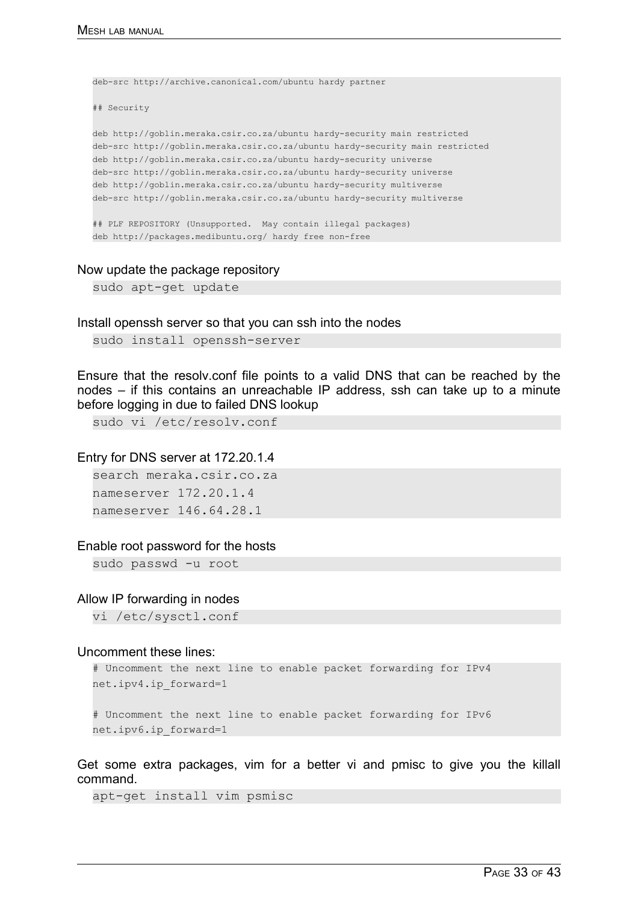```
deb-src http://archive.canonical.com/ubuntu hardy partner 
## Security 
deb http://goblin.meraka.csir.co.za/ubuntu hardy-security main restricted 
deb-src http://goblin.meraka.csir.co.za/ubuntu hardy-security main restricted 
deb http://goblin.meraka.csir.co.za/ubuntu hardy-security universe 
deb-src http://goblin.meraka.csir.co.za/ubuntu hardy-security universe 
deb http://goblin.meraka.csir.co.za/ubuntu hardy-security multiverse 
deb-src http://goblin.meraka.csir.co.za/ubuntu hardy-security multiverse 
## PLF REPOSITORY (Unsupported. May contain illegal packages)
deb http://packages.medibuntu.org/ hardy free non-free
```
#### Now update the package repository

sudo apt-get update

Install openssh server so that you can ssh into the nodes

sudo install openssh-server

Ensure that the resolv.conf file points to a valid DNS that can be reached by the nodes – if this contains an unreachable IP address, ssh can take up to a minute before logging in due to failed DNS lookup

sudo vi /etc/resolv.conf

#### Entry for DNS server at 172.20.1.4

search meraka.csir.co.za nameserver 172.20.1.4 nameserver 146.64.28.1

#### Enable root password for the hosts

sudo passwd -u root

#### Allow IP forwarding in nodes

vi /etc/sysctl.conf

#### Uncomment these lines:

```
# Uncomment the next line to enable packet forwarding for IPv4 
net.ipv4.ip_forward=1
```
# Uncomment the next line to enable packet forwarding for IPv6 net.ipv6.ip\_forward=1

Get some extra packages, vim for a better vi and pmisc to give you the killall command.

apt-get install vim psmisc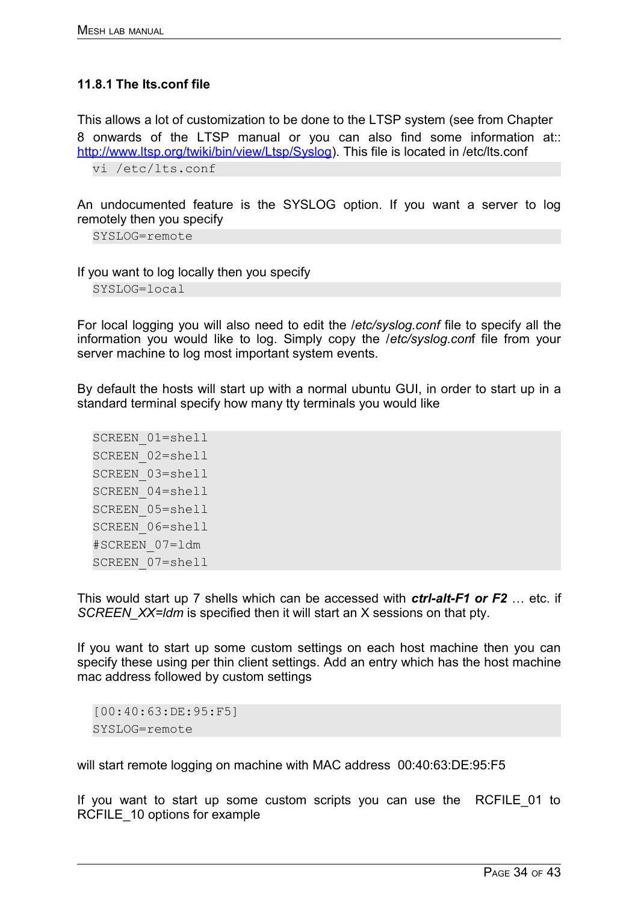## **11.8.1 The lts.conf file**

This allows a lot of customization to be done to the LTSP system (see from Chapter 8 onwards of the LTSP manual or you can also find some information at:: [http://www.ltsp.org/twiki/bin/view/Ltsp/Syslog\)](http://www.ltsp.org/twiki/bin/view/Ltsp/Syslog). This file is located in /etc/lts.conf vi /etc/lts.conf

An undocumented feature is the SYSLOG option. If you want a server to log remotely then you specify

SYSLOG=remote

If you want to log locally then you specify

SYSLOG=local

For local logging you will also need to edit the /*etc/syslog.conf* file to specify all the information you would like to log. Simply copy the /*etc/syslog.con*f file from your server machine to log most important system events.

By default the hosts will start up with a normal ubuntu GUI, in order to start up in a standard terminal specify how many tty terminals you would like

SCREEN\_01=shell SCREEN\_02=shell SCREEN\_03=shell SCREEN\_04=shell SCREEN\_05=shell SCREEN\_06=shell #SCREEN\_07=ldm SCREEN\_07=shell

This would start up 7 shells which can be accessed with *ctrl-alt-F1 or F2* … etc. if *SCREEN\_XX=ldm* is specified then it will start an X sessions on that pty.

If you want to start up some custom settings on each host machine then you can specify these using per thin client settings. Add an entry which has the host machine mac address followed by custom settings

[00:40:63:DE:95:F5] SYSLOG=remote

will start remote logging on machine with MAC address 00:40:63:DE:95:F5

If you want to start up some custom scripts you can use the RCFILE\_01 to RCFILE 10 options for example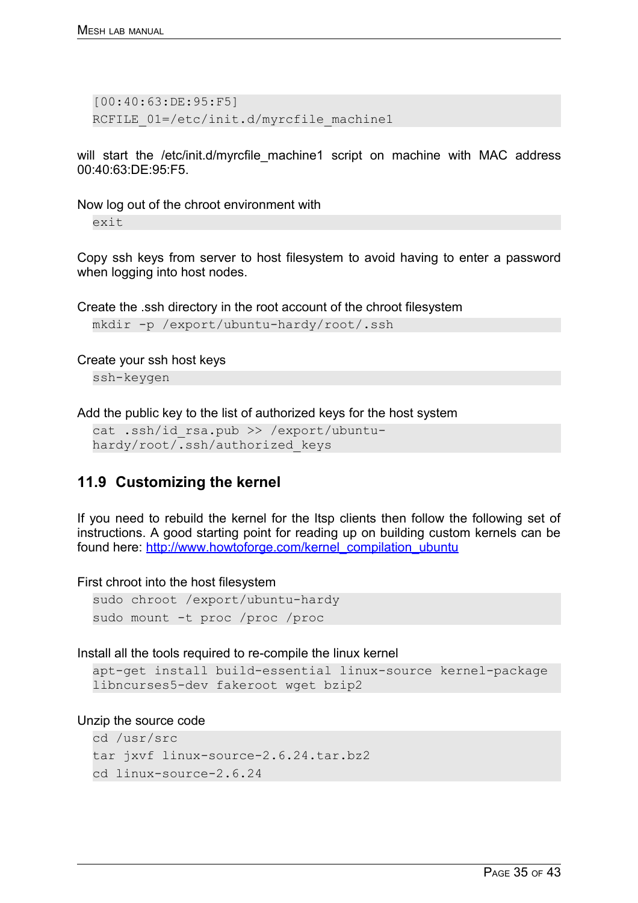[00:40:63:DE:95:F5] RCFILE 01=/etc/init.d/myrcfile machine1

will start the /etc/init.d/myrcfile machine1 script on machine with MAC address 00:40:63:DE:95:F5.

Now log out of the chroot environment with

exit

Copy ssh keys from server to host filesystem to avoid having to enter a password when logging into host nodes.

Create the .ssh directory in the root account of the chroot filesystem

```
mkdir -p /export/ubuntu-hardy/root/.ssh
```
Create your ssh host keys

ssh-keygen

Add the public key to the list of authorized keys for the host system

cat .ssh/id rsa.pub >> /export/ubuntuhardy/root/.ssh/authorized\_keys

## **11.9 Customizing the kernel**

If you need to rebuild the kernel for the ltsp clients then follow the following set of instructions. A good starting point for reading up on building custom kernels can be found here: [http://www.howtoforge.com/kernel\\_compilation\\_ubuntu](http://www.howtoforge.com/kernel_compilation_ubuntu)

First chroot into the host filesystem

```
sudo chroot /export/ubuntu-hardy
sudo mount -t proc /proc /proc
```
Install all the tools required to re-compile the linux kernel

```
apt-get install build-essential linux-source kernel-package
libncurses5-dev fakeroot wget bzip2
```
Unzip the source code

```
cd /usr/src
tar jxvf linux-source-2.6.24.tar.bz2
cd linux-source-2.6.24
```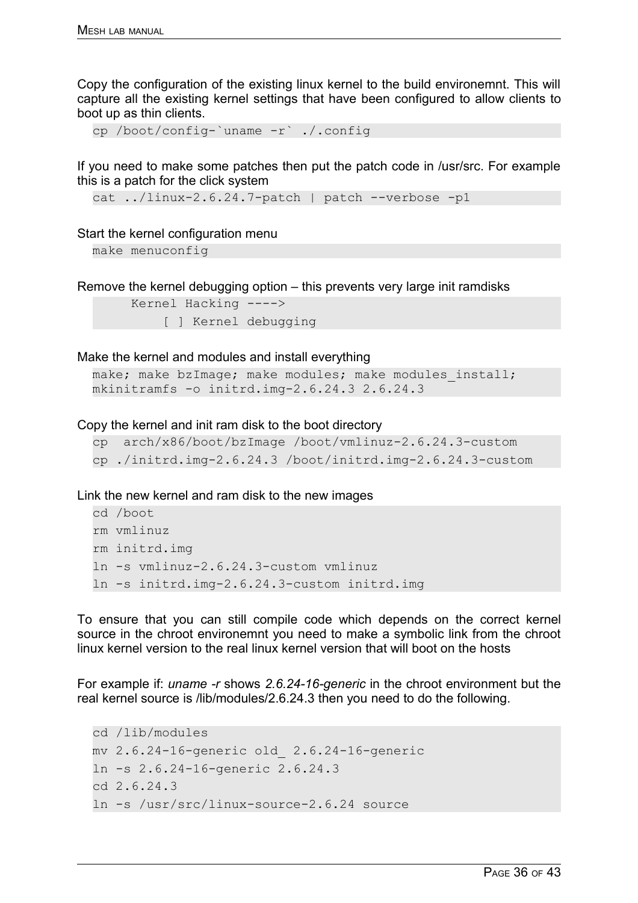Copy the configuration of the existing linux kernel to the build environemnt. This will capture all the existing kernel settings that have been configured to allow clients to boot up as thin clients.

cp /boot/config-`uname -r` ./.config

If you need to make some patches then put the patch code in /usr/src. For example this is a patch for the click system

cat ../linux-2.6.24.7-patch | patch --verbose -p1

#### Start the kernel configuration menu

make menuconfig

Remove the kernel debugging option – this prevents very large init ramdisks

```
 Kernel Hacking ---->
     [ ] Kernel debugging
```
#### Make the kernel and modules and install everything

```
make; make bzImage; make modules; make modules install;
mkinitramfs -o initrd.img-2.6.24.3 2.6.24.3
```
#### Copy the kernel and init ram disk to the boot directory

```
cp arch/x86/boot/bzImage /boot/vmlinuz-2.6.24.3-custom
cp ./initrd.img-2.6.24.3 /boot/initrd.img-2.6.24.3-custom
```
Link the new kernel and ram disk to the new images

```
cd /boot
rm vmlinuz
rm initrd.img
ln -s vmlinuz-2.6.24.3-custom vmlinuz
ln -s initrd.img-2.6.24.3-custom initrd.img
```
To ensure that you can still compile code which depends on the correct kernel source in the chroot environemnt you need to make a symbolic link from the chroot linux kernel version to the real linux kernel version that will boot on the hosts

For example if: *uname -r* shows *2.6.24-16-generic* in the chroot environment but the real kernel source is /lib/modules/2.6.24.3 then you need to do the following.

```
cd /lib/modules
mv 2.6.24-16-generic old_ 2.6.24-16-generic
ln -s 2.6.24-16-generic 2.6.24.3
cd 2.6.24.3
ln -s /usr/src/linux-source-2.6.24 source
```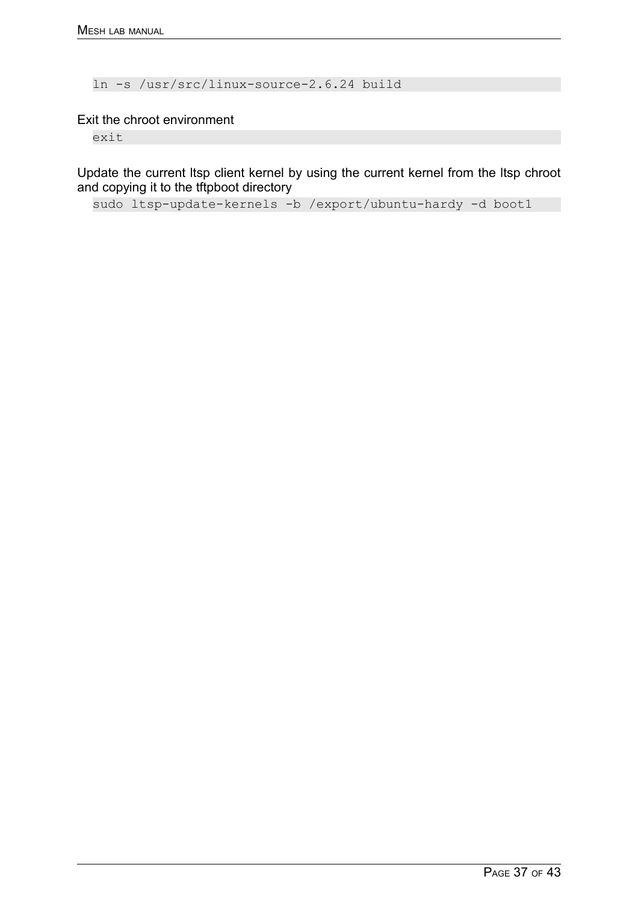ln -s /usr/src/linux-source-2.6.24 build

Exit the chroot environment

exit

Update the current ltsp client kernel by using the current kernel from the ltsp chroot and copying it to the tftpboot directory

sudo ltsp-update-kernels -b /export/ubuntu-hardy -d boot1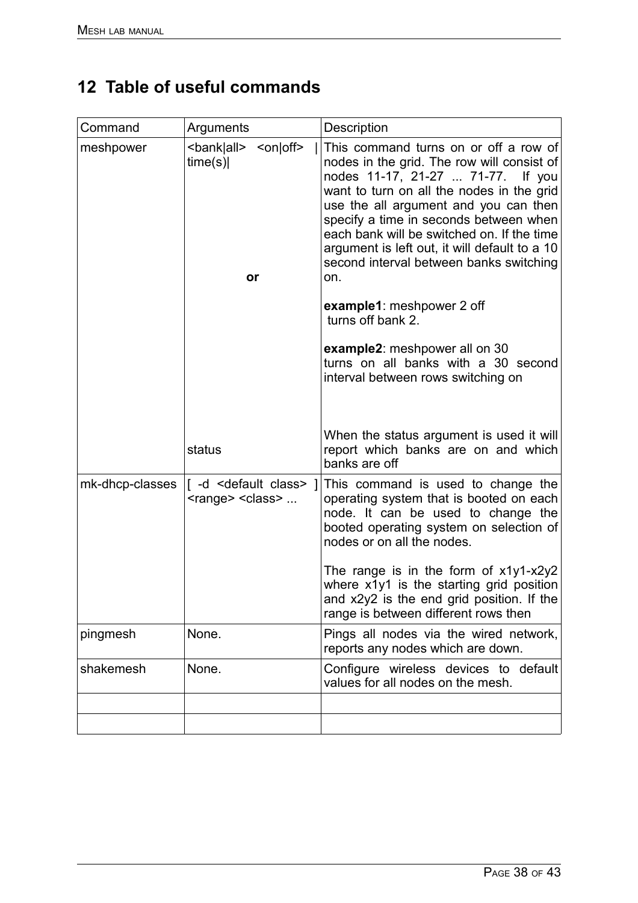# **12 Table of useful commands**

| Command         | Arguments                                                               | Description                                                                                                                                                                                                                                                                                                                                                                                                                                                    |
|-----------------|-------------------------------------------------------------------------|----------------------------------------------------------------------------------------------------------------------------------------------------------------------------------------------------------------------------------------------------------------------------------------------------------------------------------------------------------------------------------------------------------------------------------------------------------------|
| meshpower       | <bank all><br/><on off><br/>time(s)<br/>or</on off></bank all>          | This command turns on or off a row of<br>nodes in the grid. The row will consist of<br>nodes 11-17, 21-27  71-77.<br>If you<br>want to turn on all the nodes in the grid<br>use the all argument and you can then<br>specify a time in seconds between when<br>each bank will be switched on. If the time<br>argument is left out, it will default to a 10<br>second interval between banks switching<br>on.<br>example1: meshpower 2 off<br>turns off bank 2. |
|                 |                                                                         | example2: meshpower all on 30<br>turns on all banks with a 30 second<br>interval between rows switching on                                                                                                                                                                                                                                                                                                                                                     |
|                 | status                                                                  | When the status argument is used it will<br>report which banks are on and which<br>banks are off                                                                                                                                                                                                                                                                                                                                                               |
| mk-dhcp-classes | [-d <default class=""> ]<br/><range> <class> </class></range></default> | This command is used to change the<br>operating system that is booted on each<br>node. It can be used to change the<br>booted operating system on selection of<br>nodes or on all the nodes.<br>The range is in the form of $x1y1-x2y2$                                                                                                                                                                                                                        |
|                 |                                                                         | where x1y1 is the starting grid position<br>and $x2y2$ is the end grid position. If the<br>range is between different rows then                                                                                                                                                                                                                                                                                                                                |
| pingmesh        | None.                                                                   | Pings all nodes via the wired network,<br>reports any nodes which are down.                                                                                                                                                                                                                                                                                                                                                                                    |
| shakemesh       | None.                                                                   | Configure wireless devices to default<br>values for all nodes on the mesh.                                                                                                                                                                                                                                                                                                                                                                                     |
|                 |                                                                         |                                                                                                                                                                                                                                                                                                                                                                                                                                                                |
|                 |                                                                         |                                                                                                                                                                                                                                                                                                                                                                                                                                                                |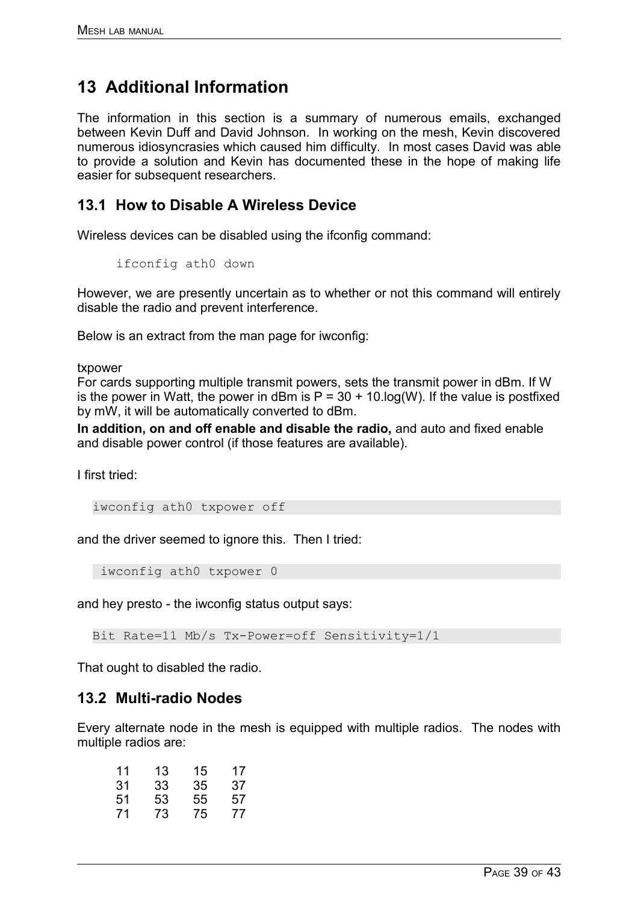# **13 Additional Information**

The information in this section is a summary of numerous emails, exchanged between Kevin Duff and David Johnson. In working on the mesh, Kevin discovered numerous idiosyncrasies which caused him difficulty. In most cases David was able to provide a solution and Kevin has documented these in the hope of making life easier for subsequent researchers.

## **13.1 How to Disable A Wireless Device**

Wireless devices can be disabled using the ifconfig command:

```
ifconfig ath0 down
```
However, we are presently uncertain as to whether or not this command will entirely disable the radio and prevent interference.

Below is an extract from the man page for iwconfig:

txpower

For cards supporting multiple transmit powers, sets the transmit power in dBm. If W is the power in Watt, the power in dBm is  $P = 30 + 10$ . log(W). If the value is postfixed by mW, it will be automatically converted to dBm.

**In addition, on and off enable and disable the radio,** and auto and fixed enable and disable power control (if those features are available).

I first tried:

iwconfig ath0 txpower off

and the driver seemed to ignore this. Then I tried:

iwconfig ath0 txpower 0

and hey presto - the iwconfig status output says:

Bit Rate=11 Mb/s Tx-Power=off Sensitivity=1/1

That ought to disabled the radio.

## **13.2 Multi-radio Nodes**

Every alternate node in the mesh is equipped with multiple radios. The nodes with multiple radios are:

| 11 | 13 | 15 | 17 |
|----|----|----|----|
| 31 | 33 | 35 | 37 |
| 51 | 53 | 55 | 57 |
| 71 | 73 | 75 | 77 |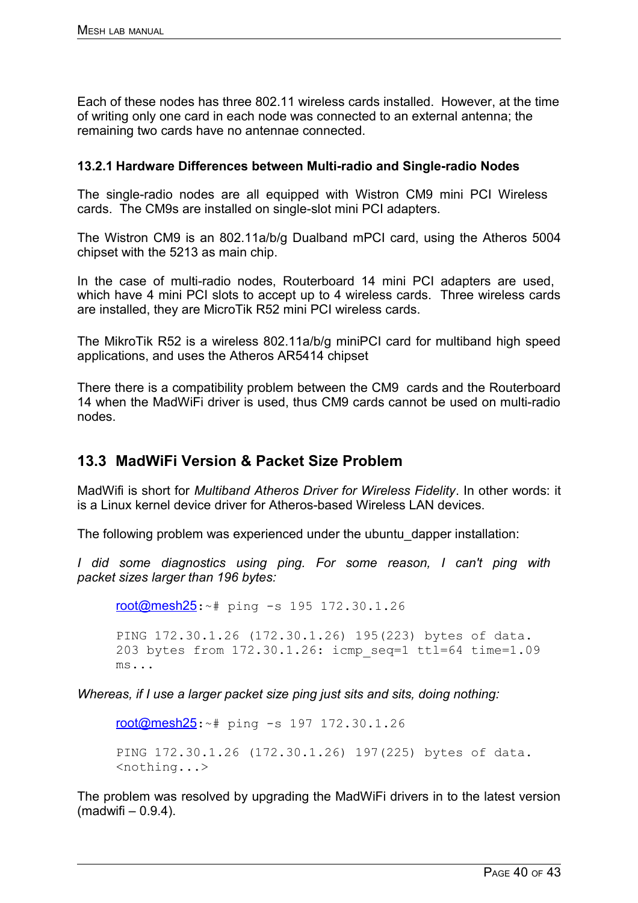Each of these nodes has three 802.11 wireless cards installed. However, at the time of writing only one card in each node was connected to an external antenna; the remaining two cards have no antennae connected.

### **13.2.1 Hardware Differences between Multi-radio and Single-radio Nodes**

The single-radio nodes are all equipped with Wistron CM9 mini PCI Wireless cards. The CM9s are installed on single-slot mini PCI adapters.

The Wistron CM9 is an 802.11a/b/g Dualband mPCI card, using the Atheros 5004 chipset with the 5213 as main chip.

In the case of multi-radio nodes, Routerboard 14 mini PCI adapters are used, which have 4 mini PCI slots to accept up to 4 wireless cards. Three wireless cards are installed, they are MicroTik R52 mini PCI wireless cards.

The MikroTik R52 is a wireless 802.11a/b/g miniPCI card for multiband high speed applications, and uses the Atheros AR5414 chipset

There there is a compatibility problem between the CM9 cards and the Routerboard 14 when the MadWiFi driver is used, thus CM9 cards cannot be used on multi-radio nodes.

## **13.3 MadWiFi Version & Packet Size Problem**

MadWifi is short for *Multiband Atheros Driver for Wireless Fidelity*. In other words: it is a Linux kernel device driver for Atheros-based Wireless LAN devices.

The following problem was experienced under the ubuntu\_dapper installation:

*I did some diagnostics using ping. For some reason, I can't ping with packet sizes larger than 196 bytes:*

[root@mesh25](https://mail.ru.ac.za/horde/imp/message.php?mailbox=**search_9amt2n0882048ko4ww8o8&index=5216&thismailbox=INBOX#):~# ping -s 195 172.30.1.26 PING 172.30.1.26 (172.30.1.26) 195(223) bytes of data. 203 bytes from 172.30.1.26: icmp\_seq=1 ttl=64 time=1.09

ms...

*Whereas, if I use a larger packet size ping just sits and sits, doing nothing:*

[root@mesh25](https://mail.ru.ac.za/horde/imp/message.php?mailbox=**search_9amt2n0882048ko4ww8o8&index=5216&thismailbox=INBOX#):~# ping -s 197 172.30.1.26

PING 172.30.1.26 (172.30.1.26) 197(225) bytes of data. <nothing...>

The problem was resolved by upgrading the MadWiFi drivers in to the latest version  $(madwifi - 0.9.4)$ .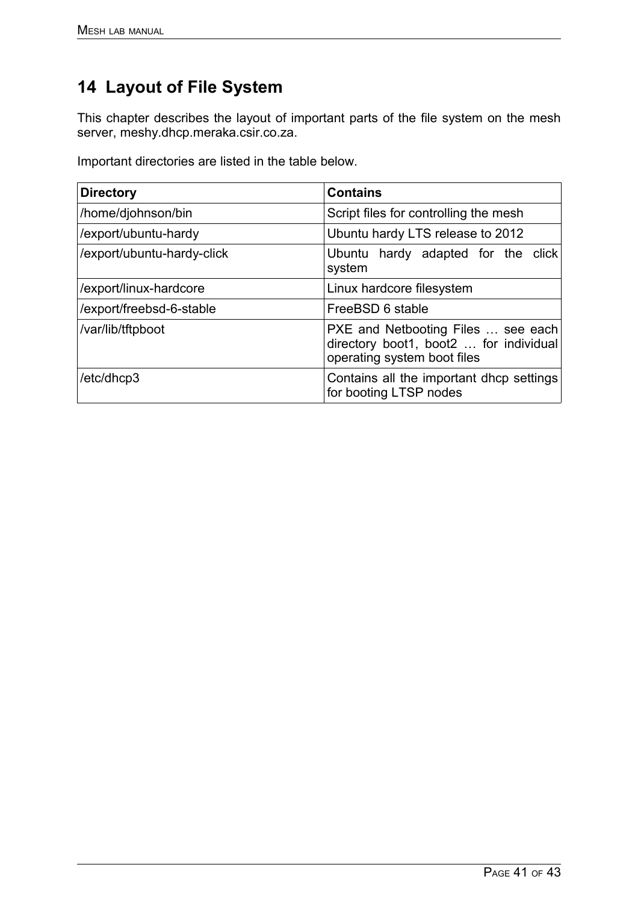# **14 Layout of File System**

This chapter describes the layout of important parts of the file system on the mesh server, meshy.dhcp.meraka.csir.co.za.

Important directories are listed in the table below.

| <b>Directory</b>           | <b>Contains</b>                                                                                             |
|----------------------------|-------------------------------------------------------------------------------------------------------------|
| /home/djohnson/bin         | Script files for controlling the mesh                                                                       |
| /export/ubuntu-hardy       | Ubuntu hardy LTS release to 2012                                                                            |
| /export/ubuntu-hardy-click | Ubuntu hardy adapted for the click<br>system                                                                |
| /export/linux-hardcore     | Linux hardcore filesystem                                                                                   |
| /export/freebsd-6-stable   | FreeBSD 6 stable                                                                                            |
| /var/lib/tftpboot          | PXE and Netbooting Files  see each<br>directory boot1, boot2  for individual<br>operating system boot files |
| /etc/dhcp3                 | Contains all the important dhop settings<br>for booting LTSP nodes                                          |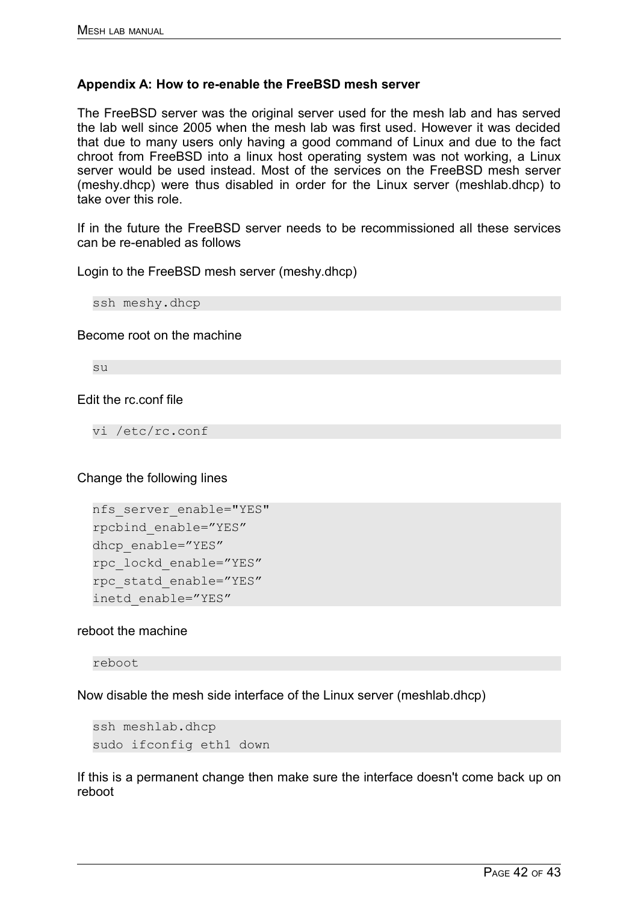### **Appendix A: How to re-enable the FreeBSD mesh server**

The FreeBSD server was the original server used for the mesh lab and has served the lab well since 2005 when the mesh lab was first used. However it was decided that due to many users only having a good command of Linux and due to the fact chroot from FreeBSD into a linux host operating system was not working, a Linux server would be used instead. Most of the services on the FreeBSD mesh server (meshy.dhcp) were thus disabled in order for the Linux server (meshlab.dhcp) to take over this role.

If in the future the FreeBSD server needs to be recommissioned all these services can be re-enabled as follows

Login to the FreeBSD mesh server (meshy.dhcp)

ssh meshy.dhcp

#### Become root on the machine

su

### Edit the rc.conf file

vi /etc/rc.conf

Change the following lines

```
nfs server enable="YES"
rpcbind_enable="YES"
dhcp_enable="YES"
rpc_lockd_enable="YES"
rpc_statd_enable="YES"
inetd_enable="YES"
```
### reboot the machine

reboot

Now disable the mesh side interface of the Linux server (meshlab.dhcp)

```
ssh meshlab.dhcp 
sudo ifconfig eth1 down
```
If this is a permanent change then make sure the interface doesn't come back up on reboot